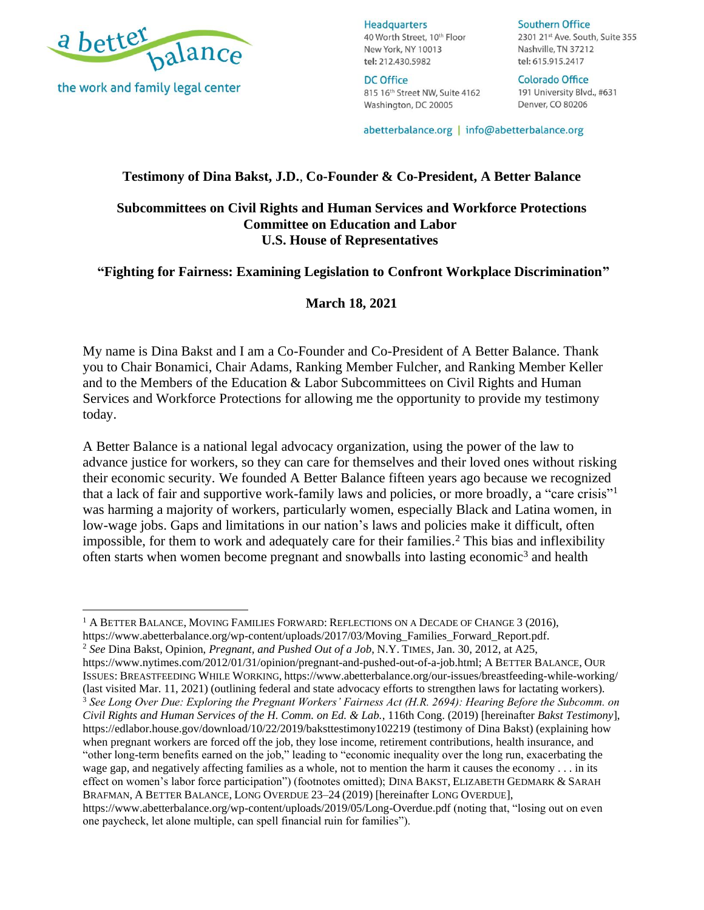

the work and family legal center

**Headquarters** 40 Worth Street, 10th Floor New York, NY 10013 tel: 212.430.5982

**DC Office** 815 16th Street NW, Suite 4162 Washington, DC 20005

#### **Southern Office**

2301 21st Ave. South, Suite 355 Nashville, TN 37212 tel: 615.915.2417

Colorado Office 191 University Blvd., #631 Denver, CO 80206

abetterbalance.org | info@abetterbalance.org

#### **Testimony of Dina Bakst, J.D.**, **Co-Founder & Co-President, A Better Balance**

#### **Subcommittees on Civil Rights and Human Services and Workforce Protections Committee on Education and Labor U.S. House of Representatives**

#### **"Fighting for Fairness: Examining Legislation to Confront Workplace Discrimination"**

#### **March 18, 2021**

My name is Dina Bakst and I am a Co-Founder and Co-President of A Better Balance. Thank you to Chair Bonamici, Chair Adams, Ranking Member Fulcher, and Ranking Member Keller and to the Members of the Education & Labor Subcommittees on Civil Rights and Human Services and Workforce Protections for allowing me the opportunity to provide my testimony today.

A Better Balance is a national legal advocacy organization, using the power of the law to advance justice for workers, so they can care for themselves and their loved ones without risking their economic security. We founded A Better Balance fifteen years ago because we recognized that a lack of fair and supportive work-family laws and policies, or more broadly, a "care crisis"<sup>1</sup> was harming a majority of workers, particularly women, especially Black and Latina women, in low-wage jobs. Gaps and limitations in our nation's laws and policies make it difficult, often impossible, for them to work and adequately care for their families. <sup>2</sup> This bias and inflexibility often starts when women become pregnant and snowballs into lasting economic<sup>3</sup> and health

[https://www.nytimes.com/2012/01/31/opinion/pregnant-and-pushed-out-of-a-job.html;](https://www.nytimes.com/2012/01/31/opinion/pregnant-and-pushed-out-of-a-job.html) A BETTER BALANCE, OUR ISSUES: BREASTFEEDING WHILE WORKING, <https://www.abetterbalance.org/our-issues/breastfeeding-while-working/> (last visited Mar. 11, 2021) (outlining federal and state advocacy efforts to strengthen laws for lactating workers). <sup>3</sup> *See Long Over Due: Exploring the Pregnant Workers' Fairness Act (H.R. 2694): Hearing Before the Subcomm. on Civil Rights and Human Services of the H. Comm. on Ed. & Lab.*, 116th Cong. (2019) [hereinafter *Bakst Testimony*], <https://edlabor.house.gov/download/10/22/2019/baksttestimony102219> (testimony of Dina Bakst) (explaining how when pregnant workers are forced off the job, they lose income, retirement contributions, health insurance, and "other long-term benefits earned on the job," leading to "economic inequality over the long run, exacerbating the wage gap, and negatively affecting families as a whole, not to mention the harm it causes the economy . . . in its effect on women's labor force participation") (footnotes omitted); DINA BAKST, ELIZABETH GEDMARK & SARAH BRAFMAN, A BETTER BALANCE, LONG OVERDUE 23–24 (2019) [hereinafter LONG OVERDUE], <https://www.abetterbalance.org/wp-content/uploads/2019/05/Long-Overdue.pdf> (noting that, "losing out on even one paycheck, let alone multiple, can spell financial ruin for families").

<sup>&</sup>lt;sup>1</sup> A BETTER BALANCE, MOVING FAMILIES FORWARD: REFLECTIONS ON A DECADE OF CHANGE 3 (2016), [https://www.abetterbalance.org/wp-content/uploads/2017/03/Moving\\_Families\\_Forward\\_Report.pdf.](https://www.abetterbalance.org/wp-content/uploads/2017/03/Moving_Families_Forward_Report.pdf)

<sup>2</sup> *See* Dina Bakst, Opinion, *Pregnant, and Pushed Out of a Job*, N.Y. TIMES, Jan. 30, 2012, at A25,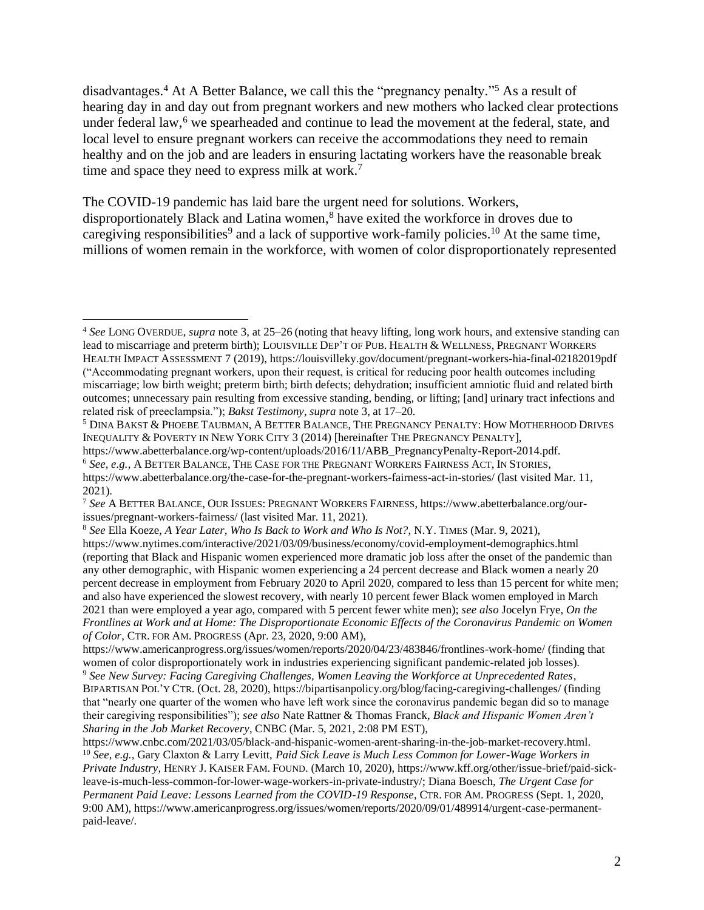disadvantages.<sup>4</sup> At A Better Balance, we call this the "pregnancy penalty."<sup>5</sup> As a result of hearing day in and day out from pregnant workers and new mothers who lacked clear protections under federal law,<sup>6</sup> we spearheaded and continue to lead the movement at the federal, state, and local level to ensure pregnant workers can receive the accommodations they need to remain healthy and on the job and are leaders in ensuring lactating workers have the reasonable break time and space they need to express milk at work.<sup>7</sup>

The COVID-19 pandemic has laid bare the urgent need for solutions. Workers, disproportionately Black and Latina women, <sup>8</sup> have exited the workforce in droves due to caregiving responsibilities<sup>9</sup> and a lack of supportive work-family policies.<sup>10</sup> At the same time, millions of women remain in the workforce, with women of color disproportionately represented

<sup>5</sup> DINA BAKST & PHOEBE TAUBMAN, A BETTER BALANCE, THE PREGNANCY PENALTY: HOW MOTHERHOOD DRIVES INEQUALITY & POVERTY IN NEW YORK CITY 3 (2014) [hereinafter THE PREGNANCY PENALTY],

[https://www.abetterbalance.org/wp-content/uploads/2016/11/ABB\\_PregnancyPenalty-Report-2014.pdf.](https://www.abetterbalance.org/wp-content/uploads/2016/11/ABB_PregnancyPenalty-Report-2014.pdf)

- <sup>6</sup> *See, e.g.*, A BETTER BALANCE, THE CASE FOR THE PREGNANT WORKERS FAIRNESS ACT, IN STORIES,
- <https://www.abetterbalance.org/the-case-for-the-pregnant-workers-fairness-act-in-stories/> (last visited Mar. 11, 2021).

<sup>4</sup> *See* LONG OVERDUE, *supra* note 3, at 25–26 (noting that heavy lifting, long work hours, and extensive standing can lead to miscarriage and preterm birth); LOUISVILLE DEP'T OF PUB. HEALTH & WELLNESS, PREGNANT WORKERS HEALTH IMPACT ASSESSMENT 7 (2019)[, https://louisvilleky.gov/document/pregnant-workers-hia-final-02182019pdf](https://louisvilleky.gov/document/pregnant-workers-hia-final-02182019pdf) ("Accommodating pregnant workers, upon their request, is critical for reducing poor health outcomes including miscarriage; low birth weight; preterm birth; birth defects; dehydration; insufficient amniotic fluid and related birth outcomes; unnecessary pain resulting from excessive standing, bending, or lifting; [and] urinary tract infections and related risk of preeclampsia."); *Bakst Testimony*, *supra* note 3, at 17–20*.*

<sup>7</sup> *See* A BETTER BALANCE, OUR ISSUES:PREGNANT WORKERS FAIRNESS, [https://www.abetterbalance.org/our](https://www.abetterbalance.org/our-issues/pregnant-workers-fairness/)[issues/pregnant-workers-fairness/](https://www.abetterbalance.org/our-issues/pregnant-workers-fairness/) (last visited Mar. 11, 2021).

<sup>8</sup> *See* Ella Koeze, *A Year Later, Who Is Back to Work and Who Is Not?*, N.Y. TIMES (Mar. 9, 2021), <https://www.nytimes.com/interactive/2021/03/09/business/economy/covid-employment-demographics.html> (reporting that Black and Hispanic women experienced more dramatic job loss after the onset of the pandemic than any other demographic, with Hispanic women experiencing a 24 percent decrease and Black women a nearly 20 percent decrease in employment from February 2020 to April 2020, compared to less than 15 percent for white men; and also have experienced the slowest recovery, with nearly 10 percent fewer Black women employed in March 2021 than were employed a year ago, compared with 5 percent fewer white men); *see also* Jocelyn Frye, *On the Frontlines at Work and at Home: The Disproportionate Economic Effects of the Coronavirus Pandemic on Women of Color*, CTR. FOR AM.PROGRESS (Apr. 23, 2020, 9:00 AM),

<https://www.americanprogress.org/issues/women/reports/2020/04/23/483846/frontlines-work-home/> (finding that women of color disproportionately work in industries experiencing significant pandemic-related job losses).

<sup>9</sup> *See New Survey: Facing Caregiving Challenges, Women Leaving the Workforce at Unprecedented Rates*, BIPARTISAN POL'Y CTR. (Oct. 28, 2020),<https://bipartisanpolicy.org/blog/facing-caregiving-challenges/> (finding that "nearly one quarter of the women who have left work since the coronavirus pandemic began did so to manage their caregiving responsibilities"); *see also* Nate Rattner & Thomas Franck, *Black and Hispanic Women Aren't Sharing in the Job Market Recovery*, CNBC (Mar. 5, 2021, 2:08 PM EST),

[https://www.cnbc.com/2021/03/05/black-and-hispanic-women-arent-sharing-in-the-job-market-recovery.html.](https://www.cnbc.com/2021/03/05/black-and-hispanic-women-arent-sharing-in-the-job-market-recovery.html) <sup>10</sup> *See, e.g.,* Gary Claxton & Larry Levitt, *Paid Sick Leave is Much Less Common for Lower-Wage Workers in Private Industry*, HENRY J. KAISER FAM.FOUND. (March 10, 2020), [https://www.kff.org/other/issue-brief/paid-sick](https://www.kff.org/other/issue-brief/paid-sick-leave-is-much-less-common-for-lower-wage-workers-in-private-industry/)[leave-is-much-less-common-for-lower-wage-workers-in-private-industry/;](https://www.kff.org/other/issue-brief/paid-sick-leave-is-much-less-common-for-lower-wage-workers-in-private-industry/) Diana Boesch, *The Urgent Case for Permanent Paid Leave: Lessons Learned from the COVID-19 Response*, CTR. FOR AM.PROGRESS (Sept. 1, 2020, 9:00 AM)[, https://www.americanprogress.org/issues/women/reports/2020/09/01/489914/urgent-case-permanent](https://www.americanprogress.org/issues/women/reports/2020/09/01/489914/urgent-case-permanent-paid-leave/)[paid-leave/.](https://www.americanprogress.org/issues/women/reports/2020/09/01/489914/urgent-case-permanent-paid-leave/)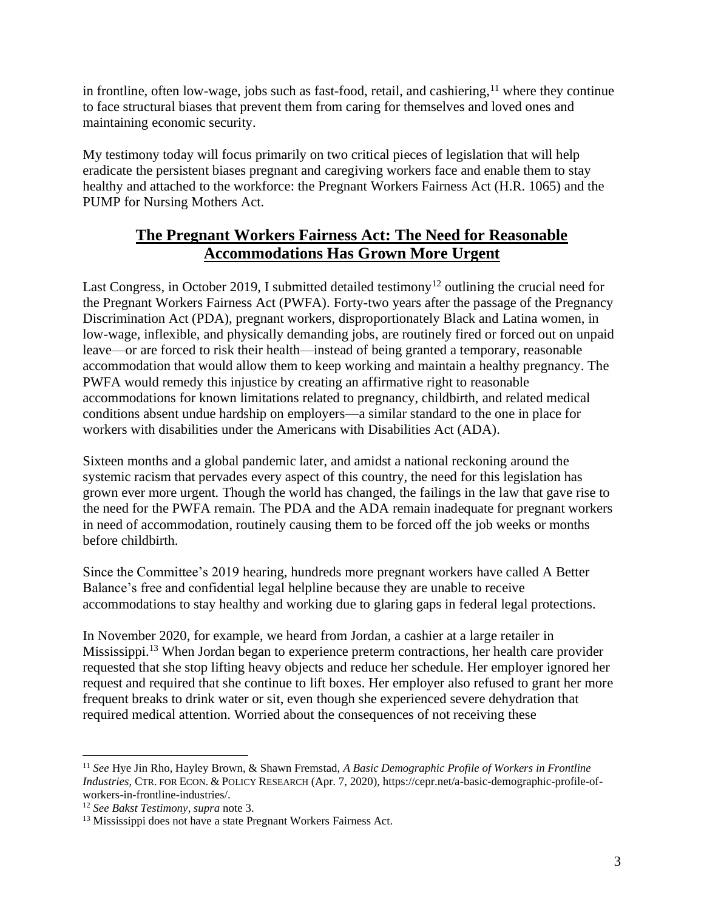in frontline, often low-wage, jobs such as fast-food, retail, and cashiering,<sup>11</sup> where they continue to face structural biases that prevent them from caring for themselves and loved ones and maintaining economic security.

My testimony today will focus primarily on two critical pieces of legislation that will help eradicate the persistent biases pregnant and caregiving workers face and enable them to stay healthy and attached to the workforce: the Pregnant Workers Fairness Act (H.R. 1065) and the PUMP for Nursing Mothers Act.

# **The Pregnant Workers Fairness Act: The Need for Reasonable Accommodations Has Grown More Urgent**

Last Congress, in October 2019, I submitted detailed testimony<sup>12</sup> outlining the crucial need for the Pregnant Workers Fairness Act (PWFA). Forty-two years after the passage of the Pregnancy Discrimination Act (PDA), pregnant workers, disproportionately Black and Latina women, in low-wage, inflexible, and physically demanding jobs, are routinely fired or forced out on unpaid leave—or are forced to risk their health—instead of being granted a temporary, reasonable accommodation that would allow them to keep working and maintain a healthy pregnancy. The PWFA would remedy this injustice by creating an affirmative right to reasonable accommodations for known limitations related to pregnancy, childbirth, and related medical conditions absent undue hardship on employers—a similar standard to the one in place for workers with disabilities under the Americans with Disabilities Act (ADA).

Sixteen months and a global pandemic later, and amidst a national reckoning around the systemic racism that pervades every aspect of this country, the need for this legislation has grown ever more urgent. Though the world has changed, the failings in the law that gave rise to the need for the PWFA remain. The PDA and the ADA remain inadequate for pregnant workers in need of accommodation, routinely causing them to be forced off the job weeks or months before childbirth.

Since the Committee's 2019 hearing, hundreds more pregnant workers have called A Better Balance's free and confidential legal helpline because they are unable to receive accommodations to stay healthy and working due to glaring gaps in federal legal protections.

In November 2020, for example, we heard from Jordan, a cashier at a large retailer in Mississippi.<sup>13</sup> When Jordan began to experience preterm contractions, her health care provider requested that she stop lifting heavy objects and reduce her schedule. Her employer ignored her request and required that she continue to lift boxes. Her employer also refused to grant her more frequent breaks to drink water or sit, even though she experienced severe dehydration that required medical attention. Worried about the consequences of not receiving these

<sup>11</sup> *See* Hye Jin Rho, Hayley Brown, & Shawn Fremstad, *A Basic Demographic Profile of Workers in Frontline Industries*, CTR. FOR ECON. & POLICY RESEARCH (Apr. 7, 2020), [https://cepr.net/a-basic-demographic-profile-of](https://cepr.net/a-basic-demographic-profile-of-workers-in-frontline-industries/)[workers-in-frontline-industries/.](https://cepr.net/a-basic-demographic-profile-of-workers-in-frontline-industries/)

<sup>12</sup> *See Bakst Testimony*, *supra* note 3.

<sup>&</sup>lt;sup>13</sup> Mississippi does not have a state Pregnant Workers Fairness Act.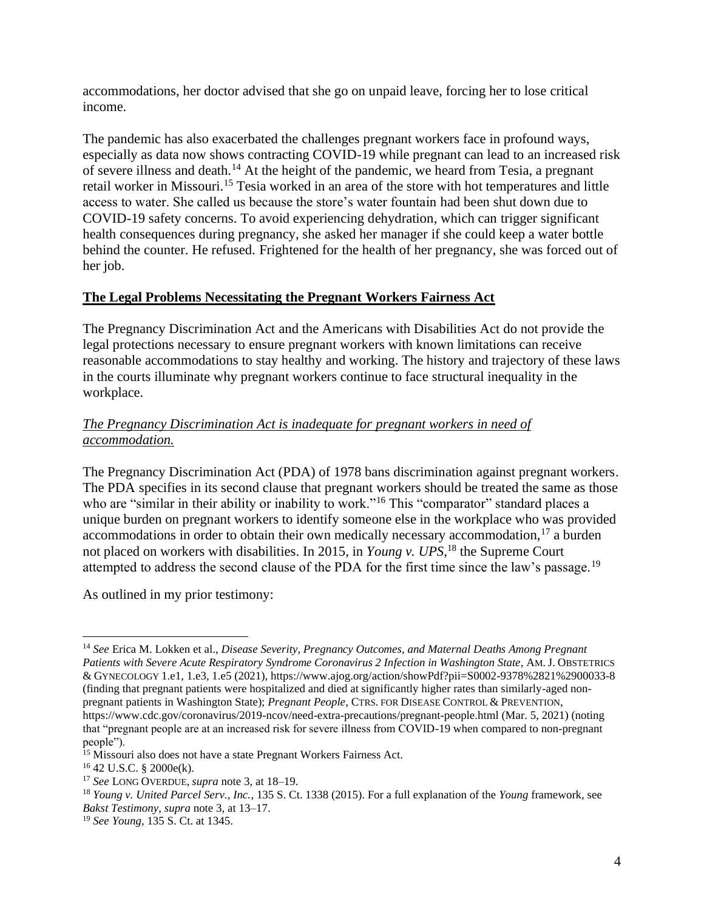accommodations, her doctor advised that she go on unpaid leave, forcing her to lose critical income.

The pandemic has also exacerbated the challenges pregnant workers face in profound ways, especially as data now shows contracting COVID-19 while pregnant can lead to an increased risk of severe illness and death.<sup>14</sup> At the height of the pandemic, we heard from Tesia, a pregnant retail worker in Missouri.<sup>15</sup> Tesia worked in an area of the store with hot temperatures and little access to water. She called us because the store's water fountain had been shut down due to COVID-19 safety concerns. To avoid experiencing dehydration, which can trigger significant health consequences during pregnancy, she asked her manager if she could keep a water bottle behind the counter. He refused. Frightened for the health of her pregnancy, she was forced out of her job.

# **The Legal Problems Necessitating the Pregnant Workers Fairness Act**

The Pregnancy Discrimination Act and the Americans with Disabilities Act do not provide the legal protections necessary to ensure pregnant workers with known limitations can receive reasonable accommodations to stay healthy and working. The history and trajectory of these laws in the courts illuminate why pregnant workers continue to face structural inequality in the workplace.

### *The Pregnancy Discrimination Act is inadequate for pregnant workers in need of accommodation.*

The Pregnancy Discrimination Act (PDA) of 1978 bans discrimination against pregnant workers. The PDA specifies in its second clause that pregnant workers should be treated the same as those who are "similar in their ability or inability to work."<sup>16</sup> This "comparator" standard places a unique burden on pregnant workers to identify someone else in the workplace who was provided accommodations in order to obtain their own medically necessary accommodation, $17$  a burden not placed on workers with disabilities. In 2015, in *Young v. UPS*, <sup>18</sup> the Supreme Court attempted to address the second clause of the PDA for the first time since the law's passage.<sup>19</sup>

As outlined in my prior testimony:

<sup>14</sup> *See* Erica M. Lokken et al., *Disease Severity, Pregnancy Outcomes, and Maternal Deaths Among Pregnant Patients with Severe Acute Respiratory Syndrome Coronavirus 2 Infection in Washington State*, AM. J. OBSTETRICS & GYNECOLOGY 1.e1, 1.e3, 1.e5 (2021), https://www.ajog.org/action/showPdf?pii=S0002-9378%2821%2900033-8 (finding that pregnant patients were hospitalized and died at significantly higher rates than similarly-aged nonpregnant patients in Washington State); *Pregnant People*, CTRS. FOR DISEASE CONTROL & PREVENTION, <https://www.cdc.gov/coronavirus/2019-ncov/need-extra-precautions/pregnant-people.html> (Mar. 5, 2021) (noting that "pregnant people are at an increased risk for severe illness from COVID-19 when compared to non-pregnant people").

<sup>&</sup>lt;sup>15</sup> Missouri also does not have a state Pregnant Workers Fairness Act.

<sup>16</sup> 42 U.S.C. § 2000e(k).

<sup>17</sup> *See* LONG OVERDUE, *supra* note 3, at 18–19.

<sup>18</sup> *Young v. United Parcel Serv., Inc.*, 135 S. Ct. 1338 (2015). For a full explanation of the *Young* framework, see *Bakst Testimony*, *supra* note 3, at 13–17.

<sup>19</sup> *See Young*, 135 S. Ct. at 1345.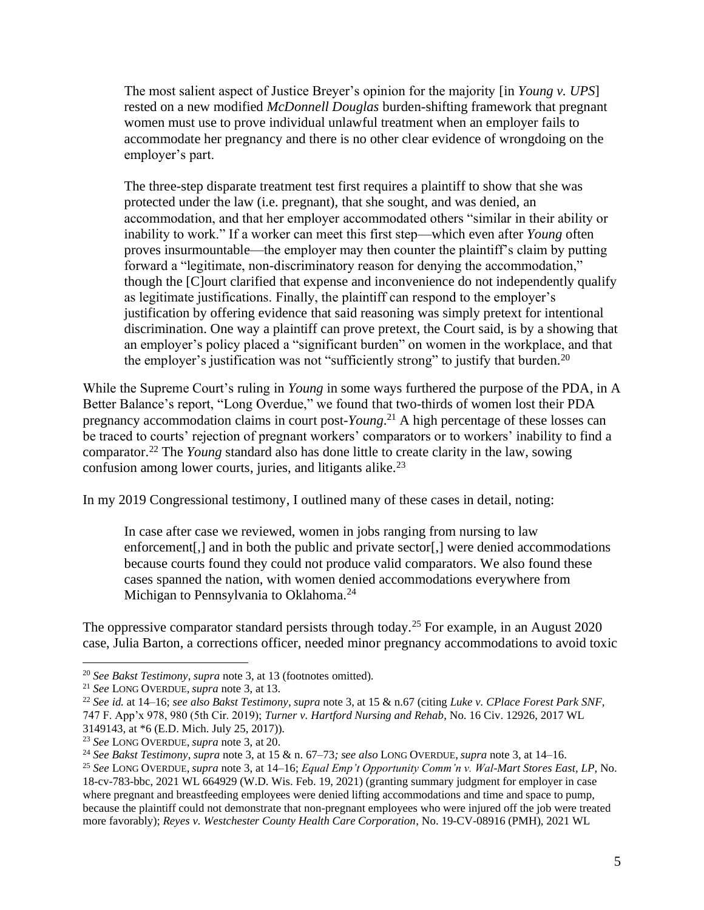The most salient aspect of Justice Breyer's opinion for the majority [in *Young v. UPS*] rested on a new modified *McDonnell Douglas* burden-shifting framework that pregnant women must use to prove individual unlawful treatment when an employer fails to accommodate her pregnancy and there is no other clear evidence of wrongdoing on the employer's part.

The three-step disparate treatment test first requires a plaintiff to show that she was protected under the law (i.e. pregnant), that she sought, and was denied, an accommodation, and that her employer accommodated others "similar in their ability or inability to work." If a worker can meet this first step—which even after *Young* often proves insurmountable—the employer may then counter the plaintiff's claim by putting forward a "legitimate, non-discriminatory reason for denying the accommodation," though the [C]ourt clarified that expense and inconvenience do not independently qualify as legitimate justifications. Finally, the plaintiff can respond to the employer's justification by offering evidence that said reasoning was simply pretext for intentional discrimination. One way a plaintiff can prove pretext, the Court said, is by a showing that an employer's policy placed a "significant burden" on women in the workplace, and that the employer's justification was not "sufficiently strong" to justify that burden.<sup>20</sup>

While the Supreme Court's ruling in *Young* in some ways furthered the purpose of the PDA, in A Better Balance's report, "Long Overdue," we found that two-thirds of women lost their PDA pregnancy accommodation claims in court post-*Young*. <sup>21</sup> A high percentage of these losses can be traced to courts' rejection of pregnant workers' comparators or to workers' inability to find a comparator.<sup>22</sup> The *Young* standard also has done little to create clarity in the law, sowing confusion among lower courts, juries, and litigants alike.<sup>23</sup>

In my 2019 Congressional testimony, I outlined many of these cases in detail, noting:

In case after case we reviewed, women in jobs ranging from nursing to law enforcement[,] and in both the public and private sector[,] were denied accommodations because courts found they could not produce valid comparators. We also found these cases spanned the nation, with women denied accommodations everywhere from Michigan to Pennsylvania to Oklahoma.<sup>24</sup>

The oppressive comparator standard persists through today.<sup>25</sup> For example, in an August 2020 case, Julia Barton, a corrections officer, needed minor pregnancy accommodations to avoid toxic

<sup>20</sup> *See Bakst Testimony*, *supra* note 3, at 13 (footnotes omitted).

<sup>21</sup> *See* LONG OVERDUE, *supra* note 3, at 13.

<sup>22</sup> *See id.* at 14–16; *see also Bakst Testimony*, *supra* note 3, at 15 & n.67 (citing *Luke v. CPlace Forest Park SNF*, 747 F. App'x 978, 980 (5th Cir. 2019); *Turner v. Hartford Nursing and Rehab*, No. 16 Civ. 12926, 2017 WL 3149143, at \*6 (E.D. Mich. July 25, 2017)).

<sup>23</sup> *See* LONG OVERDUE, *supra* note 3, at 20.

<sup>24</sup> *See Bakst Testimony*, *supra* note 3, at 15 & n. 67–73*; see also* LONG OVERDUE, *supra* note 3, at 14–16.

<sup>25</sup> *See* LONG OVERDUE, *supra* note 3, at 14–16; *Equal Emp't Opportunity Comm'n v. Wal-Mart Stores East, LP*, No. 18-cv-783-bbc, 2021 WL 664929 (W.D. Wis. Feb. 19, 2021) (granting summary judgment for employer in case where pregnant and breastfeeding employees were denied lifting accommodations and time and space to pump, because the plaintiff could not demonstrate that non-pregnant employees who were injured off the job were treated more favorably); *Reyes v. Westchester County Health Care Corporation*, No. 19-CV-08916 (PMH), 2021 WL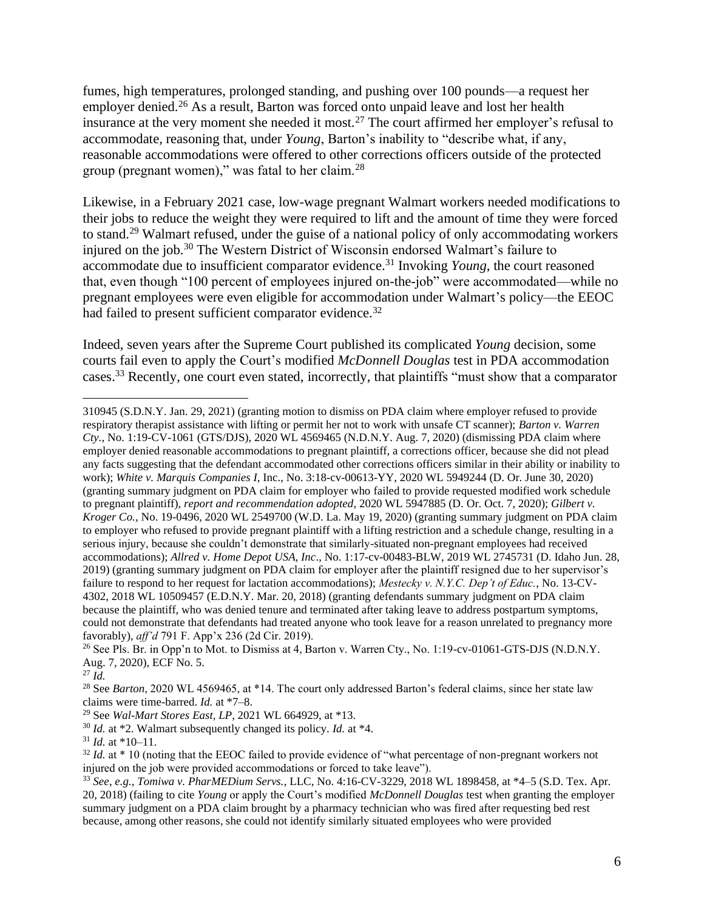fumes, high temperatures, prolonged standing, and pushing over 100 pounds—a request her employer denied.<sup>26</sup> As a result, Barton was forced onto unpaid leave and lost her health insurance at the very moment she needed it most.<sup>27</sup> The court affirmed her employer's refusal to accommodate, reasoning that, under *Young*, Barton's inability to "describe what, if any, reasonable accommodations were offered to other corrections officers outside of the protected group (pregnant women)," was fatal to her claim. $^{28}$ 

Likewise, in a February 2021 case, low-wage pregnant Walmart workers needed modifications to their jobs to reduce the weight they were required to lift and the amount of time they were forced to stand.<sup>29</sup> Walmart refused, under the guise of a national policy of only accommodating workers injured on the job.<sup>30</sup> The Western District of Wisconsin endorsed Walmart's failure to accommodate due to insufficient comparator evidence.<sup>31</sup> Invoking *Young*, the court reasoned that, even though "100 percent of employees injured on-the-job" were accommodated—while no pregnant employees were even eligible for accommodation under Walmart's policy—the EEOC had failed to present sufficient comparator evidence.<sup>32</sup>

Indeed, seven years after the Supreme Court published its complicated *Young* decision, some courts fail even to apply the Court's modified *McDonnell Douglas* test in PDA accommodation cases.<sup>33</sup> Recently, one court even stated, incorrectly, that plaintiffs "must show that a comparator

310945 (S.D.N.Y. Jan. 29, 2021) (granting motion to dismiss on PDA claim where employer refused to provide respiratory therapist assistance with lifting or permit her not to work with unsafe CT scanner); *Barton v. Warren Cty.*, No. 1:19-CV-1061 (GTS/DJS), 2020 WL 4569465 (N.D.N.Y. Aug. 7, 2020) (dismissing PDA claim where employer denied reasonable accommodations to pregnant plaintiff, a corrections officer, because she did not plead any facts suggesting that the defendant accommodated other corrections officers similar in their ability or inability to work); *White v. Marquis Companies I*, Inc., No. 3:18-cv-00613-YY, 2020 WL 5949244 (D. Or. June 30, 2020) (granting summary judgment on PDA claim for employer who failed to provide requested modified work schedule to pregnant plaintiff), *report and recommendation adopted*, 2020 WL 5947885 (D. Or. Oct. 7, 2020); *Gilbert v. Kroger Co.*, No. 19-0496, 2020 WL 2549700 (W.D. La. May 19, 2020) (granting summary judgment on PDA claim to employer who refused to provide pregnant plaintiff with a lifting restriction and a schedule change, resulting in a serious injury, because she couldn't demonstrate that similarly-situated non-pregnant employees had received accommodations); *Allred v. Home Depot USA, Inc*., No. 1:17-cv-00483-BLW, 2019 WL 2745731 (D. Idaho Jun. 28, 2019) (granting summary judgment on PDA claim for employer after the plaintiff resigned due to her supervisor's failure to respond to her request for lactation accommodations); *Mestecky v. N.Y.C. Dep't of Educ.*, No. 13-CV-4302, 2018 WL 10509457 (E.D.N.Y. Mar. 20, 2018) (granting defendants summary judgment on PDA claim because the plaintiff, who was denied tenure and terminated after taking leave to address postpartum symptoms, could not demonstrate that defendants had treated anyone who took leave for a reason unrelated to pregnancy more favorably), *aff'd* 791 F. App'x 236 (2d Cir. 2019).

<sup>27</sup> *Id.*

<sup>&</sup>lt;sup>26</sup> See Pls. Br. in Opp'n to Mot. to Dismiss at 4, Barton v. Warren Cty., No. 1:19-cv-01061-GTS-DJS (N.D.N.Y. Aug. 7, 2020), ECF No. 5.

<sup>&</sup>lt;sup>28</sup> See *Barton*, 2020 WL 4569465, at \*14. The court only addressed Barton's federal claims, since her state law claims were time-barred. *Id.* at \*7–8.

<sup>29</sup> See *Wal-Mart Stores East, LP*, 2021 WL 664929, at \*13.

<sup>30</sup> *Id.* at \*2. Walmart subsequently changed its policy. *Id.* at \*4.

 $31$  *Id.* at \*10–11.

<sup>&</sup>lt;sup>32</sup> *Id.* at \* 10 (noting that the EEOC failed to provide evidence of "what percentage of non-pregnant workers not injured on the job were provided accommodations or forced to take leave").

<sup>33</sup> *See*, *e.g.*, *Tomiwa v. PharMEDium Servs.*, LLC, No. 4:16-CV-3229, 2018 WL 1898458, at \*4–5 (S.D. Tex. Apr. 20, 2018) (failing to cite *Young* or apply the Court's modified *McDonnell Douglas* test when granting the employer summary judgment on a PDA claim brought by a pharmacy technician who was fired after requesting bed rest because, among other reasons, she could not identify similarly situated employees who were provided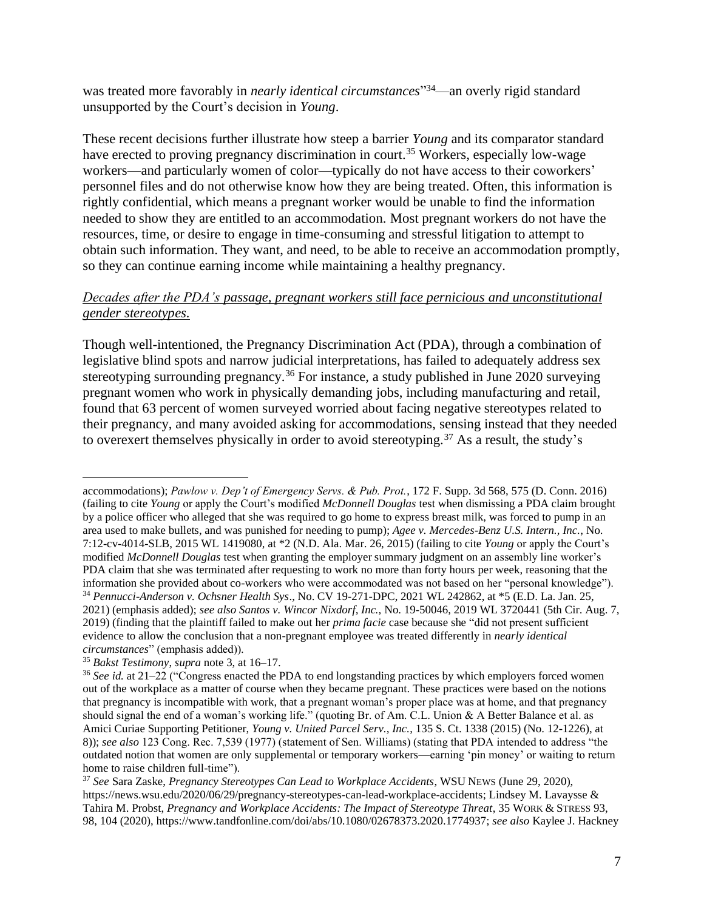was treated more favorably in *nearly identical circumstances*" <sup>34</sup>—an overly rigid standard unsupported by the Court's decision in *Young*.

These recent decisions further illustrate how steep a barrier *Young* and its comparator standard have erected to proving pregnancy discrimination in court.<sup>35</sup> Workers, especially low-wage workers—and particularly women of color—typically do not have access to their coworkers' personnel files and do not otherwise know how they are being treated. Often, this information is rightly confidential, which means a pregnant worker would be unable to find the information needed to show they are entitled to an accommodation. Most pregnant workers do not have the resources, time, or desire to engage in time-consuming and stressful litigation to attempt to obtain such information. They want, and need, to be able to receive an accommodation promptly, so they can continue earning income while maintaining a healthy pregnancy.

### *Decades after the PDA's passage, pregnant workers still face pernicious and unconstitutional gender stereotypes.*

Though well-intentioned, the Pregnancy Discrimination Act (PDA), through a combination of legislative blind spots and narrow judicial interpretations, has failed to adequately address sex stereotyping surrounding pregnancy.<sup>36</sup> For instance, a study published in June 2020 surveying pregnant women who work in physically demanding jobs, including manufacturing and retail, found that 63 percent of women surveyed worried about facing negative stereotypes related to their pregnancy, and many avoided asking for accommodations, sensing instead that they needed to overexert themselves physically in order to avoid stereotyping.<sup>37</sup> As a result, the study's

accommodations); *Pawlow v. Dep't of Emergency Servs. & Pub. Prot.*, 172 F. Supp. 3d 568, 575 (D. Conn. 2016) (failing to cite *Young* or apply the Court's modified *McDonnell Douglas* test when dismissing a PDA claim brought by a police officer who alleged that she was required to go home to express breast milk, was forced to pump in an area used to make bullets, and was punished for needing to pump); *Agee v. Mercedes-Benz U.S. Intern., Inc.*, No. 7:12-cv-4014-SLB, 2015 WL 1419080, at \*2 (N.D. Ala. Mar. 26, 2015) (failing to cite *Young* or apply the Court's modified *McDonnell Douglas* test when granting the employer summary judgment on an assembly line worker's PDA claim that she was terminated after requesting to work no more than forty hours per week, reasoning that the information she provided about co-workers who were accommodated was not based on her "personal knowledge"). <sup>34</sup> *Pennucci-Anderson v. Ochsner Health Sys*., No. CV 19-271-DPC, 2021 WL 242862, at \*5 (E.D. La. Jan. 25, 2021) (emphasis added); *see also Santos v. Wincor Nixdorf, Inc.,* No. 19-50046, 2019 WL 3720441 (5th Cir. Aug. 7, 2019) (finding that the plaintiff failed to make out her *prima facie* case because she "did not present sufficient evidence to allow the conclusion that a non-pregnant employee was treated differently in *nearly identical circumstances*" (emphasis added)).

<sup>35</sup> *Bakst Testimony*, *supra* note 3, at 16–17.

<sup>36</sup> *See id.* at 21–22 ("Congress enacted the PDA to end longstanding practices by which employers forced women out of the workplace as a matter of course when they became pregnant. These practices were based on the notions that pregnancy is incompatible with work, that a pregnant woman's proper place was at home, and that pregnancy should signal the end of a woman's working life." (quoting Br. of Am. C.L. Union & A Better Balance et al. as Amici Curiae Supporting Petitioner, *Young v. United Parcel Serv., Inc.*, 135 S. Ct. 1338 (2015) (No. 12-1226), at 8)); *see also* 123 Cong. Rec. 7,539 (1977) (statement of Sen. Williams) (stating that PDA intended to address "the outdated notion that women are only supplemental or temporary workers—earning 'pin money' or waiting to return home to raise children full-time").

<sup>37</sup> *See* Sara Zaske, *Pregnancy Stereotypes Can Lead to Workplace Accidents*, WSU NEWS (June 29, 2020), [https://news.wsu.edu/2020/06/29/pregnancy-stereotypes-can-lead-workplace-accidents;](https://news.wsu.edu/2020/06/29/pregnancy-stereotypes-can-lead-workplace-accidents) Lindsey M. Lavaysse & Tahira M. Probst, *Pregnancy and Workplace Accidents: The Impact of Stereotype Threat*, 35 WORK & STRESS 93, 98, 104 (2020), [https://www.tandfonline.com/doi/abs/10.1080/02678373.2020.1774937;](https://www.tandfonline.com/doi/abs/10.1080/02678373.2020.1774937) *see also* Kaylee J. Hackney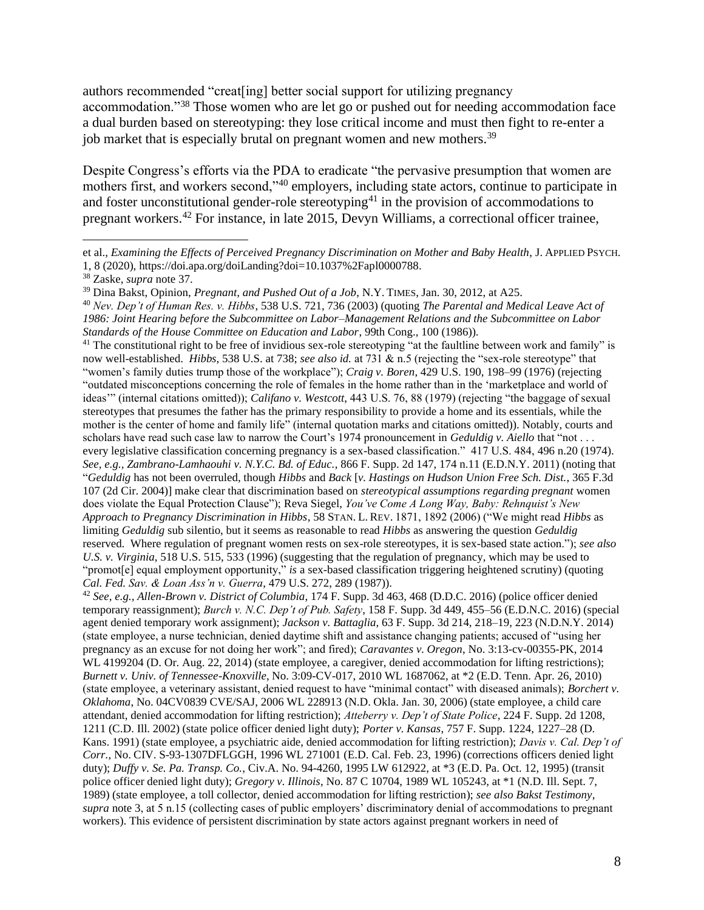authors recommended "creat[ing] better social support for utilizing pregnancy accommodation."<sup>38</sup> Those women who are let go or pushed out for needing accommodation face a dual burden based on stereotyping: they lose critical income and must then fight to re-enter a job market that is especially brutal on pregnant women and new mothers.<sup>39</sup>

Despite Congress's efforts via the PDA to eradicate "the pervasive presumption that women are mothers first, and workers second,"<sup>40</sup> employers, including state actors, continue to participate in and foster unconstitutional gender-role stereotyping<sup>41</sup> in the provision of accommodations to pregnant workers.<sup>42</sup> For instance, in late 2015, Devyn Williams, a correctional officer trainee,

<sup>41</sup> The constitutional right to be free of invidious sex-role stereotyping "at the faultline between work and family" is now well-established. *Hibbs*, 538 U.S. at 738; *see also id.* at 731 & n.5 (rejecting the "sex-role stereotype" that "women's family duties trump those of the workplace"); *Craig v. Boren*, 429 U.S. 190, 198–99 (1976) (rejecting "outdated misconceptions concerning the role of females in the home rather than in the 'marketplace and world of ideas'" (internal citations omitted)); *Califano v. Westcott*, 443 U.S. 76, 88 (1979) (rejecting "the baggage of sexual stereotypes that presumes the father has the primary responsibility to provide a home and its essentials, while the mother is the center of home and family life" (internal quotation marks and citations omitted)). Notably, courts and scholars have read such case law to narrow the Court's 1974 pronouncement in *Geduldig v. Aiello* that "not . . . every legislative classification concerning pregnancy is a sex-based classification." 417 U.S. 484, 496 n.20 (1974). *See, e.g., Zambrano-Lamhaouhi v. N.Y.C. Bd. of Educ.*, 866 F. Supp. 2d 147, 174 n.11 (E.D.N.Y. 2011) (noting that "*Geduldig* has not been overruled, though *Hibbs* and *Back* [*v. Hastings on Hudson Union Free Sch. Dist.*, 365 F.3d 107 (2d Cir. 2004)] make clear that discrimination based on *stereotypical assumptions regarding pregnant* women does violate the Equal Protection Clause"); Reva Siegel, *You've Come A Long Way, Baby: Rehnquist's New Approach to Pregnancy Discrimination in Hibbs*, 58 STAN. L. REV. 1871, 1892 (2006) ("We might read *Hibbs* as limiting *Geduldig* sub silentio, but it seems as reasonable to read *Hibbs* as answering the question *Geduldig* reserved. Where regulation of pregnant women rests on sex-role stereotypes, it is sex-based state action."); *see also U.S. v. Virginia*, 518 U.S. 515, 533 (1996) (suggesting that the regulation of pregnancy, which may be used to "promot[e] equal employment opportunity," *is* a sex-based classification triggering heightened scrutiny) (quoting *Cal. Fed. Sav. & Loan Ass'n v. Guerra*, 479 U.S. 272, 289 (1987)).

<sup>42</sup> *See, e.g., Allen-Brown v. District of Columbia*, 174 F. Supp. 3d 463, 468 (D.D.C. 2016) (police officer denied temporary reassignment); *Burch v. N.C. Dep't of Pub. Safety*, 158 F. Supp. 3d 449, 455–56 (E.D.N.C. 2016) (special agent denied temporary work assignment); *Jackson v. Battaglia*, 63 F. Supp. 3d 214, 218–19, 223 (N.D.N.Y. 2014) (state employee, a nurse technician, denied daytime shift and assistance changing patients; accused of "using her pregnancy as an excuse for not doing her work"; and fired); *Caravantes v. Oregon*, No. 3:13-cv-00355-PK, 2014 WL 4199204 (D. Or. Aug. 22, 2014) (state employee, a caregiver, denied accommodation for lifting restrictions); *Burnett v. Univ. of Tennessee-Knoxville*, No. 3:09-CV-017, 2010 WL 1687062, at \*2 (E.D. Tenn. Apr. 26, 2010) (state employee, a veterinary assistant, denied request to have "minimal contact" with diseased animals); *Borchert v. Oklahoma*, No. 04CV0839 CVE/SAJ, 2006 WL 228913 (N.D. Okla. Jan. 30, 2006) (state employee, a child care attendant, denied accommodation for lifting restriction); *Atteberry v. Dep't of State Police*, 224 F. Supp. 2d 1208, 1211 (C.D. Ill. 2002) (state police officer denied light duty); *Porter v. Kansas*, 757 F. Supp. 1224, 1227–28 (D. Kans. 1991) (state employee, a psychiatric aide, denied accommodation for lifting restriction); *Davis v. Cal. Dep't of Corr.*, No. CIV. S-93-1307DFLGGH, 1996 WL 271001 (E.D. Cal. Feb. 23, 1996) (corrections officers denied light duty); *Duffy v. Se. Pa. Transp. Co.*, Civ.A. No. 94-4260, 1995 LW 612922, at \*3 (E.D. Pa. Oct. 12, 1995) (transit police officer denied light duty); *Gregory v. Illinois*, No. 87 C 10704, 1989 WL 105243, at \*1 (N.D. Ill. Sept. 7, 1989) (state employee, a toll collector, denied accommodation for lifting restriction); *see also Bakst Testimony*, *supra* note 3, at 5 n.15 (collecting cases of public employers' discriminatory denial of accommodations to pregnant workers). This evidence of persistent discrimination by state actors against pregnant workers in need of

et al., *Examining the Effects of Perceived Pregnancy Discrimination on Mother and Baby Health*, J. APPLIED PSYCH. 1, 8 (2020), [https://doi.apa.org/doiLanding?doi=10.1037%2Fapl0000788.](https://doi.apa.org/doiLanding?doi=10.1037%2Fapl0000788)

<sup>38</sup> Zaske, *supra* note 37.

<sup>39</sup> Dina Bakst, Opinion, *Pregnant, and Pushed Out of a Job*, N.Y. TIMES, Jan. 30, 2012, at A25.

<sup>40</sup> *Nev. Dep't of Human Res. v. Hibbs*, 538 U.S. 721, 736 (2003) (quoting *The Parental and Medical Leave Act of 1986: Joint Hearing before the Subcommittee on Labor–Management Relations and the Subcommittee on Labor Standards of the House Committee on Education and Labor*, 99th Cong., 100 (1986)).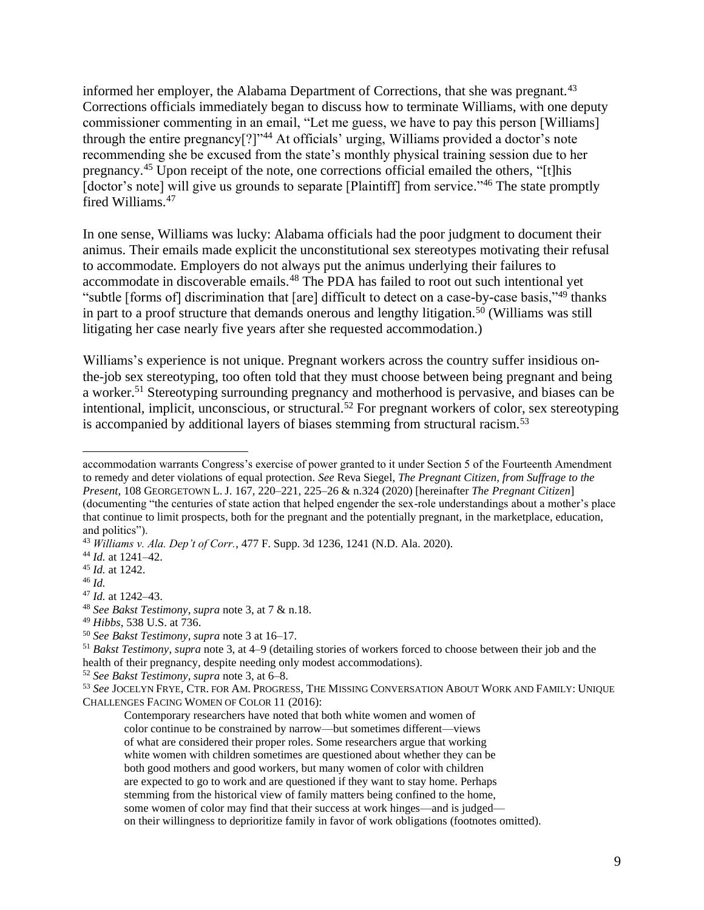informed her employer, the Alabama Department of Corrections, that she was pregnant.<sup>43</sup> Corrections officials immediately began to discuss how to terminate Williams, with one deputy commissioner commenting in an email, "Let me guess, we have to pay this person [Williams] through the entire pregnancy[?]"<sup>44</sup> At officials' urging, Williams provided a doctor's note recommending she be excused from the state's monthly physical training session due to her pregnancy.<sup>45</sup> Upon receipt of the note, one corrections official emailed the others, "[t]his [doctor's note] will give us grounds to separate [Plaintiff] from service."<sup>46</sup> The state promptly fired Williams.<sup>47</sup>

In one sense, Williams was lucky: Alabama officials had the poor judgment to document their animus. Their emails made explicit the unconstitutional sex stereotypes motivating their refusal to accommodate. Employers do not always put the animus underlying their failures to accommodate in discoverable emails.<sup>48</sup> The PDA has failed to root out such intentional yet "subtle [forms of] discrimination that [are] difficult to detect on a case-by-case basis,"<sup>49</sup> thanks in part to a proof structure that demands onerous and lengthy litigation.<sup>50</sup> (Williams was still litigating her case nearly five years after she requested accommodation.)

Williams's experience is not unique. Pregnant workers across the country suffer insidious onthe-job sex stereotyping, too often told that they must choose between being pregnant and being a worker.<sup>51</sup> Stereotyping surrounding pregnancy and motherhood is pervasive, and biases can be intentional, implicit, unconscious, or structural. <sup>52</sup> For pregnant workers of color, sex stereotyping is accompanied by additional layers of biases stemming from structural racism.<sup>53</sup>

accommodation warrants Congress's exercise of power granted to it under Section 5 of the Fourteenth Amendment to remedy and deter violations of equal protection. *See* Reva Siegel, *The Pregnant Citizen, from Suffrage to the Present*, 108 GEORGETOWN L. J. 167, 220–221, 225–26 & n.324 (2020) [hereinafter *The Pregnant Citizen*] (documenting "the centuries of state action that helped engender the sex-role understandings about a mother's place that continue to limit prospects, both for the pregnant and the potentially pregnant, in the marketplace, education, and politics").

<sup>43</sup> *Williams v. Ala. Dep't of Corr.*, 477 F. Supp. 3d 1236, 1241 (N.D. Ala. 2020).

<sup>44</sup> *Id.* at 1241–42.

<sup>45</sup> *Id.* at 1242.

<sup>46</sup> *Id.*

<sup>47</sup> *Id.* at 1242–43.

<sup>48</sup> *See Bakst Testimony*, *supra* note 3, at 7 & n.18.

<sup>49</sup> *Hibbs*, 538 U.S. at 736.

<sup>50</sup> *See Bakst Testimony*, *supra* note 3 at 16–17.

<sup>51</sup> *Bakst Testimony*, *supra* note 3, at 4–9 (detailing stories of workers forced to choose between their job and the health of their pregnancy, despite needing only modest accommodations).

<sup>52</sup> *See Bakst Testimony*, *supra* note 3, at 6–8.

<sup>53</sup> *See* JOCELYN FRYE, CTR. FOR AM.PROGRESS, THE MISSING CONVERSATION ABOUT WORK AND FAMILY: UNIQUE CHALLENGES FACING WOMEN OF COLOR 11 (2016):

Contemporary researchers have noted that both white women and women of color continue to be constrained by narrow—but sometimes different—views of what are considered their proper roles. Some researchers argue that working white women with children sometimes are questioned about whether they can be both good mothers and good workers, but many women of color with children are expected to go to work and are questioned if they want to stay home. Perhaps stemming from the historical view of family matters being confined to the home, some women of color may find that their success at work hinges—and is judged on their willingness to deprioritize family in favor of work obligations (footnotes omitted).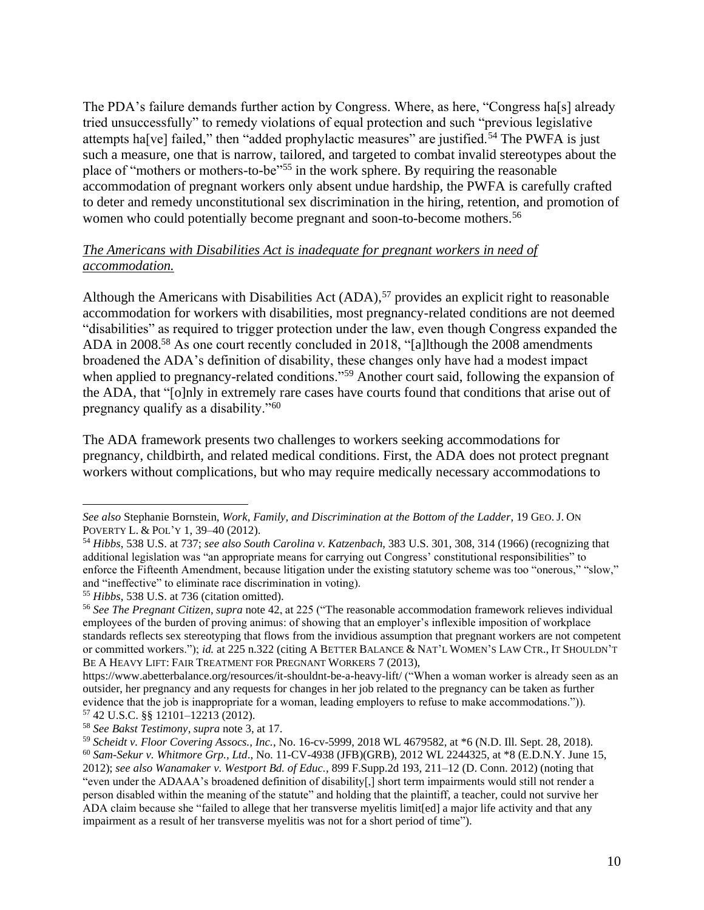The PDA's failure demands further action by Congress. Where, as here, "Congress ha<sup>[s]</sup> already tried unsuccessfully" to remedy violations of equal protection and such "previous legislative attempts ha<sup>[ve]</sup> failed," then "added prophylactic measures" are justified.<sup>54</sup> The PWFA is just such a measure, one that is narrow, tailored, and targeted to combat invalid stereotypes about the place of "mothers or mothers-to-be"<sup>55</sup> in the work sphere. By requiring the reasonable accommodation of pregnant workers only absent undue hardship, the PWFA is carefully crafted to deter and remedy unconstitutional sex discrimination in the hiring, retention, and promotion of women who could potentially become pregnant and soon-to-become mothers.<sup>56</sup>

#### *The Americans with Disabilities Act is inadequate for pregnant workers in need of accommodation.*

Although the Americans with Disabilities Act  $(ADA)$ ,<sup>57</sup> provides an explicit right to reasonable accommodation for workers with disabilities, most pregnancy-related conditions are not deemed "disabilities" as required to trigger protection under the law, even though Congress expanded the ADA in 2008.<sup>58</sup> As one court recently concluded in 2018, "[a]lthough the 2008 amendments broadened the ADA's definition of disability, these changes only have had a modest impact when applied to pregnancy-related conditions."<sup>59</sup> Another court said, following the expansion of the ADA, that "[o]nly in extremely rare cases have courts found that conditions that arise out of pregnancy qualify as a disability."<sup>60</sup>

The ADA framework presents two challenges to workers seeking accommodations for pregnancy, childbirth, and related medical conditions. First, the ADA does not protect pregnant workers without complications, but who may require medically necessary accommodations to

*See also* Stephanie Bornstein, *Work, Family, and Discrimination at the Bottom of the Ladder*, 19 GEO. J. ON POVERTY L. & POL'Y 1, 39–40 (2012).

<sup>54</sup> *Hibbs*, 538 U.S. at 737; *see also South Carolina v. Katzenbach*, 383 U.S. 301, 308, 314 (1966) (recognizing that additional legislation was "an appropriate means for carrying out Congress' constitutional responsibilities" to enforce the Fifteenth Amendment, because litigation under the existing statutory scheme was too "onerous," "slow," and "ineffective" to eliminate race discrimination in voting).

<sup>55</sup> *Hibbs*, 538 U.S. at 736 (citation omitted).

<sup>56</sup> *See The Pregnant Citizen*, *supra* note 42, at 225 ("The reasonable accommodation framework relieves individual employees of the burden of proving animus: of showing that an employer's inflexible imposition of workplace standards reflects sex stereotyping that flows from the invidious assumption that pregnant workers are not competent or committed workers."); *id.* at 225 n.322 (citing A BETTER BALANCE & NAT'L WOMEN'S LAW CTR., IT SHOULDN'T BE A HEAVY LIFT: FAIR TREATMENT FOR PREGNANT WORKERS 7 (2013),

<https://www.abetterbalance.org/resources/it-shouldnt-be-a-heavy-lift/> ("When a woman worker is already seen as an outsider, her pregnancy and any requests for changes in her job related to the pregnancy can be taken as further evidence that the job is inappropriate for a woman, leading employers to refuse to make accommodations.")). <sup>57</sup> 42 U.S.C. §§ 12101–12213 (2012).

<sup>58</sup> *See Bakst Testimony*, *supra* note 3, at 17.

<sup>59</sup> *Scheidt v. Floor Covering Assocs., Inc.*, No. 16-cv-5999, 2018 WL 4679582, at \*6 (N.D. Ill. Sept. 28, 2018).

<sup>60</sup> *Sam-Sekur v. Whitmore Grp., Ltd*., No. 11-CV-4938 (JFB)(GRB), 2012 WL 2244325, at \*8 (E.D.N.Y. June 15, 2012); *see also Wanamaker v. Westport Bd. of Educ.*, 899 F.Supp.2d 193, 211–12 (D. Conn. 2012) (noting that "even under the ADAAA's broadened definition of disability[,] short term impairments would still not render a person disabled within the meaning of the statute" and holding that the plaintiff, a teacher, could not survive her ADA claim because she "failed to allege that her [transverse](https://1.next.westlaw.com/Link/Document/FullText?entityType=disease&entityId=Iad9f1347475411db9765f9243f53508a&originationContext=document&transitionType=DocumentItem&contextData=(sc.Default)) myelitis limit[ed] a major life activity and that any impairment as a result of her [transverse](https://1.next.westlaw.com/Link/Document/FullText?entityType=disease&entityId=Iad9f1347475411db9765f9243f53508a&originationContext=document&transitionType=DocumentItem&contextData=(sc.Default)) myelitis was not for a short period of time").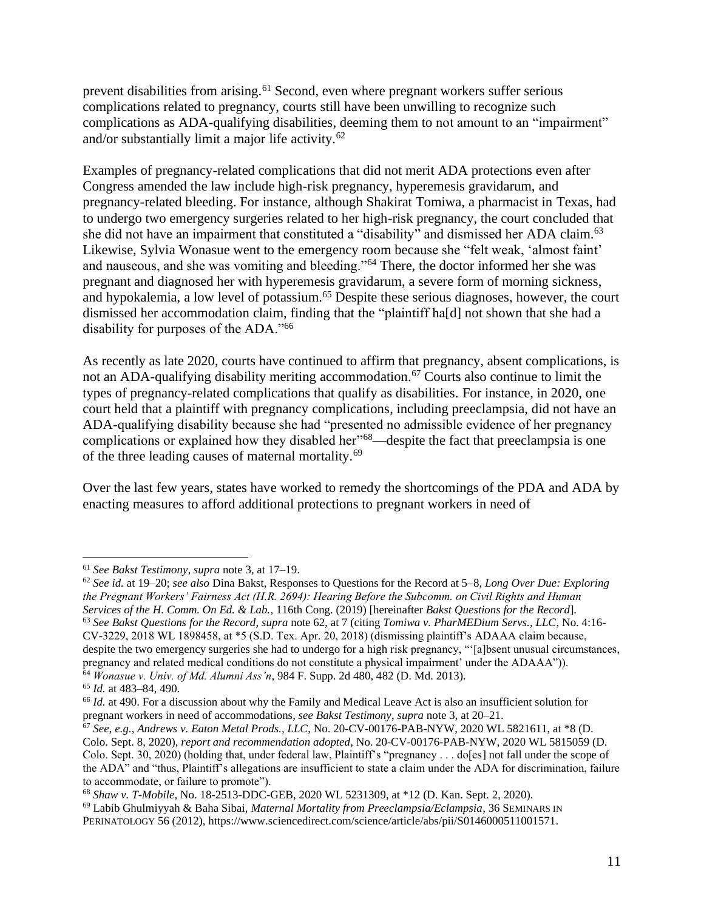prevent disabilities from arising.<sup>61</sup> Second, even where pregnant workers suffer serious complications related to pregnancy, courts still have been unwilling to recognize such complications as ADA-qualifying disabilities, deeming them to not amount to an "impairment" and/or substantially limit a major life activity.<sup>62</sup>

Examples of pregnancy-related complications that did not merit ADA protections even after Congress amended the law include high-risk pregnancy, hyperemesis gravidarum, and pregnancy-related bleeding. For instance, although Shakirat Tomiwa, a pharmacist in Texas, had to undergo two emergency surgeries related to her high-risk pregnancy, the court concluded that she did not have an impairment that constituted a "disability" and dismissed her ADA claim.<sup>63</sup> Likewise, Sylvia Wonasue went to the emergency room because she "felt weak, 'almost faint' and nauseous, and she was vomiting and bleeding."<sup>64</sup> There, the doctor informed her she was pregnant and diagnosed her with hyperemesis gravidarum, a severe form of morning sickness, and hypokalemia, a low level of potassium.<sup>65</sup> Despite these serious diagnoses, however, the court dismissed her accommodation claim, finding that the "plaintiff ha[d] not shown that she had a disability for purposes of the ADA."<sup>66</sup>

As recently as late 2020, courts have continued to affirm that pregnancy, absent complications, is not an ADA-qualifying disability meriting accommodation.<sup>67</sup> Courts also continue to limit the types of pregnancy-related complications that qualify as disabilities. For instance, in 2020, one court held that a plaintiff with pregnancy complications, including preeclampsia, did not have an ADA-qualifying disability because she had "presented no admissible evidence of her pregnancy complications or explained how they disabled her<sup>"68</sup>—despite the fact that preeclampsia is one of the three leading causes of maternal mortality.<sup>69</sup>

Over the last few years, states have worked to remedy the shortcomings of the PDA and ADA by enacting measures to afford additional protections to pregnant workers in need of

<sup>61</sup> *See Bakst Testimony*, *supra* note 3, at 17–19.

<sup>62</sup> *See id.* at 19–20; *see also* Dina Bakst, Responses to Questions for the Record at 5–8, *Long Over Due: Exploring the Pregnant Workers' Fairness Act (H.R. 2694): Hearing Before the Subcomm. on Civil Rights and Human Services of the H. Comm. On Ed. & Lab.*, 116th Cong. (2019) [hereinafter *Bakst Questions for the Record*]. <sup>63</sup> *See Bakst Questions for the Record*, *supra* note 62, at 7 (citing *Tomiwa v. PharMEDium Servs., LLC*, No. 4:16- CV-3229, 2018 WL 1898458, at \*5 (S.D. Tex. Apr. 20, 2018) (dismissing plaintiff's ADAAA claim because, despite the two emergency surgeries she had to undergo for a high risk pregnancy, "'[a]bsent unusual circumstances, pregnancy and related medical conditions do not constitute a physical impairment' under the ADAAA")). <sup>64</sup> *Wonasue v. Univ. of Md. Alumni Ass'n*, 984 F. Supp. 2d 480, 482 (D. Md. 2013).

<sup>65</sup> *Id.* at 483–84, 490.

<sup>&</sup>lt;sup>66</sup> *Id.* at 490. For a discussion about why the Family and Medical Leave Act is also an insufficient solution for

pregnant workers in need of accommodations, *see Bakst Testimony*, *supra* note 3, at 20–21.

<sup>67</sup> *See, e.g., Andrews v. Eaton Metal Prods., LLC*, No. 20-CV-00176-PAB-NYW, 2020 WL 5821611, at \*8 (D. Colo. Sept. 8, 2020), *report and recommendation adopted*, No. 20-CV-00176-PAB-NYW, 2020 WL 5815059 (D. Colo. Sept. 30, 2020) (holding that, under federal law, Plaintiff's "pregnancy . . . do[es] not fall under the scope of the ADA" and "thus, Plaintiff's allegations are insufficient to state a claim under the ADA for discrimination, failure to accommodate, or failure to promote").

<sup>68</sup> *Shaw v. T-Mobile*, No. 18-2513-DDC-GEB, 2020 WL 5231309, at \*12 (D. Kan. Sept. 2, 2020).

<sup>69</sup> Labib Ghulmiyyah & Baha Sibai, *Maternal Mortality from Preeclampsia/Eclampsia*, 36 SEMINARS IN PERINATOLOGY 56 (2012), [https://www.sciencedirect.com/science/article/abs/pii/S0146000511001571.](https://www.sciencedirect.com/science/article/abs/pii/S0146000511001571)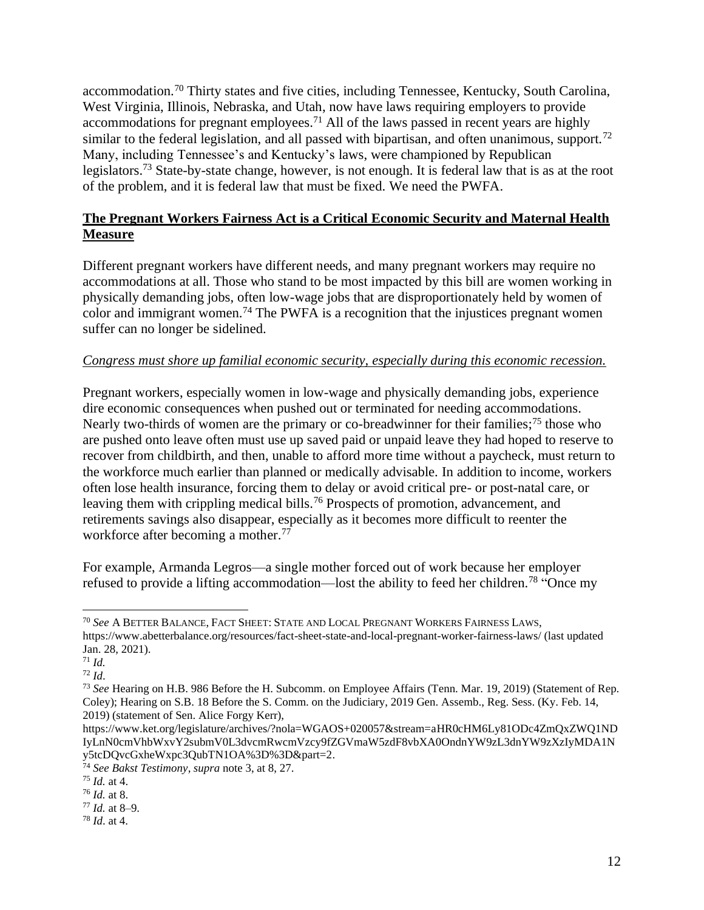accommodation.<sup>70</sup> Thirty states and five cities, including Tennessee, Kentucky, South Carolina, West Virginia, Illinois, Nebraska, and Utah, now have laws requiring employers to provide accommodations for pregnant employees.<sup>71</sup> All of the laws passed in recent years are highly similar to the federal legislation, and all passed with bipartisan, and often unanimous, support.<sup>72</sup> Many, including Tennessee's and Kentucky's laws, were championed by Republican legislators.<sup>73</sup> State-by-state change, however, is not enough. It is federal law that is as at the root of the problem, and it is federal law that must be fixed. We need the PWFA.

# **The Pregnant Workers Fairness Act is a Critical Economic Security and Maternal Health Measure**

Different pregnant workers have different needs, and many pregnant workers may require no accommodations at all. Those who stand to be most impacted by this bill are women working in physically demanding jobs, often low-wage jobs that are disproportionately held by women of color and immigrant women.<sup>74</sup> The PWFA is a recognition that the injustices pregnant women suffer can no longer be sidelined.

#### *Congress must shore up familial economic security, especially during this economic recession.*

Pregnant workers, especially women in low-wage and physically demanding jobs, experience dire economic consequences when pushed out or terminated for needing accommodations. Nearly two-thirds of women are the primary or co-breadwinner for their families;<sup>75</sup> those who are pushed onto leave often must use up saved paid or unpaid leave they had hoped to reserve to recover from childbirth, and then, unable to afford more time without a paycheck, must return to the workforce much earlier than planned or medically advisable. In addition to income, workers often lose health insurance, forcing them to delay or avoid critical pre- or post-natal care, or leaving them with crippling medical bills.<sup>76</sup> Prospects of promotion, advancement, and retirements savings also disappear, especially as it becomes more difficult to reenter the workforce after becoming a mother.<sup>77</sup>

For example, Armanda Legros—a single mother forced out of work because her employer refused to provide a lifting accommodation—lost the ability to feed her children.<sup>78</sup> "Once my

<sup>70</sup> *See* A BETTER BALANCE,FACT SHEET:STATE AND LOCAL PREGNANT WORKERS FAIRNESS LAWS, <https://www.abetterbalance.org/resources/fact-sheet-state-and-local-pregnant-worker-fairness-laws/> (last updated Jan. 28, 2021).

<sup>71</sup> *Id.*

<sup>72</sup> *Id*.

<sup>73</sup> *See* Hearing on H.B. 986 Before the H. Subcomm. on Employee Affairs (Tenn. Mar. 19, 2019) (Statement of Rep. Coley); Hearing on S.B. 18 Before the S. Comm. on the Judiciary, 2019 Gen. Assemb., Reg. Sess. (Ky. Feb. 14, 2019) (statement of Sen. Alice Forgy Kerr),

[https://www.ket.org/legislature/archives/?nola=WGAOS+020057&stream=aHR0cHM6Ly81ODc4ZmQxZWQ1ND](https://www.ket.org/legislature/archives/?nola=WGAOS+020057&stream=aHR0cHM6Ly81ODc4ZmQxZWQ1NDIyLnN0cmVhbWxvY2submV0L3dvcmRwcmVzcy9fZGVmaW5zdF8vbXA0OndnYW9zL3dnYW9zXzIyMDA1Ny5tcDQvcGxheWxpc3QubTN1OA%3D%3D&part=2) [IyLnN0cmVhbWxvY2submV0L3dvcmRwcmVzcy9fZGVmaW5zdF8vbXA0OndnYW9zL3dnYW9zXzIyMDA1N](https://www.ket.org/legislature/archives/?nola=WGAOS+020057&stream=aHR0cHM6Ly81ODc4ZmQxZWQ1NDIyLnN0cmVhbWxvY2submV0L3dvcmRwcmVzcy9fZGVmaW5zdF8vbXA0OndnYW9zL3dnYW9zXzIyMDA1Ny5tcDQvcGxheWxpc3QubTN1OA%3D%3D&part=2) [y5tcDQvcGxheWxpc3QubTN1OA%3D%3D&part=2.](https://www.ket.org/legislature/archives/?nola=WGAOS+020057&stream=aHR0cHM6Ly81ODc4ZmQxZWQ1NDIyLnN0cmVhbWxvY2submV0L3dvcmRwcmVzcy9fZGVmaW5zdF8vbXA0OndnYW9zL3dnYW9zXzIyMDA1Ny5tcDQvcGxheWxpc3QubTN1OA%3D%3D&part=2)

<sup>74</sup> *See Bakst Testimony*, *supra* note 3, at 8, 27.

<sup>75</sup> *Id.* at 4.

<sup>76</sup> *Id.* at 8.

<sup>77</sup> *Id.* at 8–9.

<sup>78</sup> *Id*. at 4.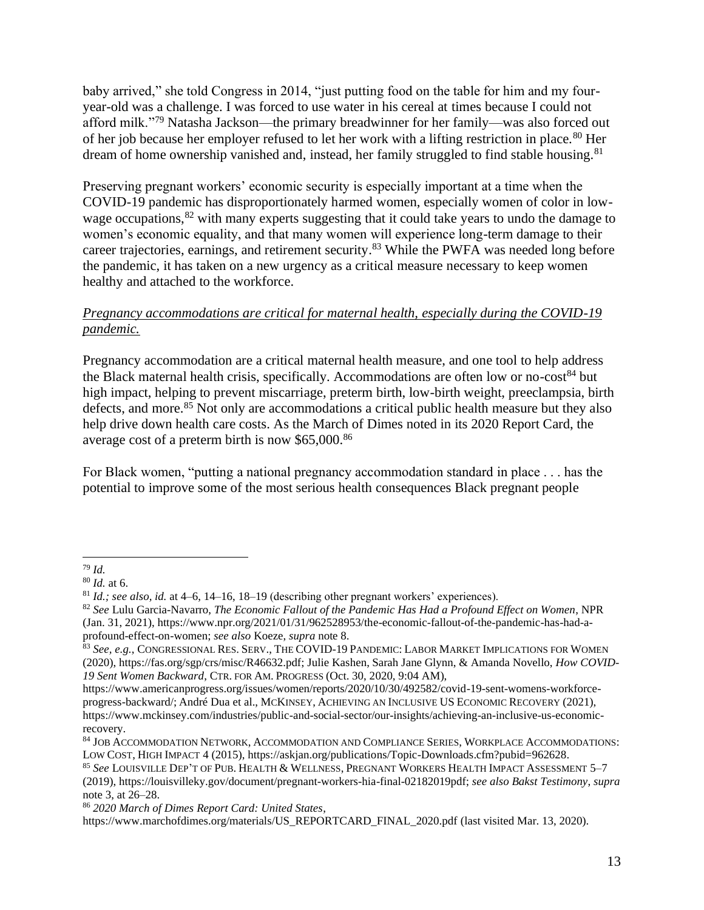baby arrived," she told Congress in 2014, "just putting food on the table for him and my fouryear-old was a challenge. I was forced to use water in his cereal at times because I could not afford milk."<sup>79</sup> Natasha Jackson—the primary breadwinner for her family—was also forced out of her job because her employer refused to let her work with a lifting restriction in place.<sup>80</sup> Her dream of home ownership vanished and, instead, her family struggled to find stable housing.<sup>81</sup>

Preserving pregnant workers' economic security is especially important at a time when the COVID-19 pandemic has disproportionately harmed women, especially women of color in lowwage occupations,<sup>82</sup> with many experts suggesting that it could take years to undo the damage to women's economic equality, and that many women will experience long-term damage to their career trajectories, earnings, and retirement security.<sup>83</sup> While the PWFA was needed long before the pandemic, it has taken on a new urgency as a critical measure necessary to keep women healthy and attached to the workforce.

#### *Pregnancy accommodations are critical for maternal health, especially during the COVID-19 pandemic.*

Pregnancy accommodation are a critical maternal health measure, and one tool to help address the Black maternal health crisis, specifically. Accommodations are often low or no-cost<sup>84</sup> but high impact, helping to prevent miscarriage, preterm birth, low-birth weight, preeclampsia, birth defects, and more.<sup>85</sup> Not only are accommodations a critical public health measure but they also help drive down health care costs. As the March of Dimes noted in its 2020 Report Card, the average cost of a preterm birth is now \$65,000.<sup>86</sup>

For Black women, "putting a national pregnancy accommodation standard in place . . . has the potential to improve some of the most serious health consequences Black pregnant people

<sup>79</sup> *Id.*

<sup>80</sup> *Id.* at 6.

<sup>81</sup> *Id.; see also, id.* at 4–6, 14–16, 18–19 (describing other pregnant workers' experiences).

<sup>82</sup> *See* Lulu Garcia-Navarro, *The Economic Fallout of the Pandemic Has Had a Profound Effect on Women*, NPR (Jan. 31, 2021), [https://www.npr.org/2021/01/31/962528953/the-economic-fallout-of-the-pandemic-has-had-a](https://www.npr.org/2021/01/31/962528953/the-economic-fallout-of-the-pandemic-has-had-a-profound-effect-on-women)[profound-effect-on-women;](https://www.npr.org/2021/01/31/962528953/the-economic-fallout-of-the-pandemic-has-had-a-profound-effect-on-women) *see also* Koeze, *supra* note 8.

<sup>&</sup>lt;sup>83</sup> See, e.g., Congressional Res. Serv., The COVID-19 Pandemic: Labor Market Implications for Women (2020)[, https://fas.org/sgp/crs/misc/R46632.pdf;](https://fas.org/sgp/crs/misc/R46632.pdf) Julie Kashen, Sarah Jane Glynn, & Amanda Novello, *How COVID-19 Sent Women Backward*, CTR. FOR AM.PROGRESS (Oct. 30, 2020, 9:04 AM),

[https://www.americanprogress.org/issues/women/reports/2020/10/30/492582/covid-19-sent-womens-workforce](https://www.americanprogress.org/issues/women/reports/2020/10/30/492582/covid-19-sent-womens-workforce-progress-backward/)[progress-backward/;](https://www.americanprogress.org/issues/women/reports/2020/10/30/492582/covid-19-sent-womens-workforce-progress-backward/) André Dua et al., MCKINSEY, ACHIEVING AN INCLUSIVE US ECONOMIC RECOVERY (2021), [https://www.mckinsey.com/industries/public-and-social-sector/our-insights/achieving-an-inclusive-us-economic](https://www.mckinsey.com/industries/public-and-social-sector/our-insights/achieving-an-inclusive-us-economic-recovery)[recovery.](https://www.mckinsey.com/industries/public-and-social-sector/our-insights/achieving-an-inclusive-us-economic-recovery)

<sup>84</sup> JOB ACCOMMODATION NETWORK, ACCOMMODATION AND COMPLIANCE SERIES, WORKPLACE ACCOMMODATIONS: LOW COST, HIGH IMPACT 4 (2015)[, https://askjan.org/publications/Topic-Downloads.cfm?pubid=962628.](https://askjan.org/publications/Topic-Downloads.cfm?pubid=962628)

<sup>85</sup> *See* LOUISVILLE DEP'T OF PUB. HEALTH & WELLNESS,PREGNANT WORKERS HEALTH IMPACT ASSESSMENT 5–7 (2019)[, https://louisvilleky.gov/document/pregnant-workers-hia-final-02182019pdf;](https://louisvilleky.gov/document/pregnant-workers-hia-final-02182019pdf) *see also Bakst Testimony*, *supra* note 3, at 26–28.

<sup>86</sup> *2020 March of Dimes Report Card: United States*,

[https://www.marchofdimes.org/materials/US\\_REPORTCARD\\_FINAL\\_2020.pdf](https://www.marchofdimes.org/materials/US_REPORTCARD_FINAL_2020.pdf) (last visited Mar. 13, 2020).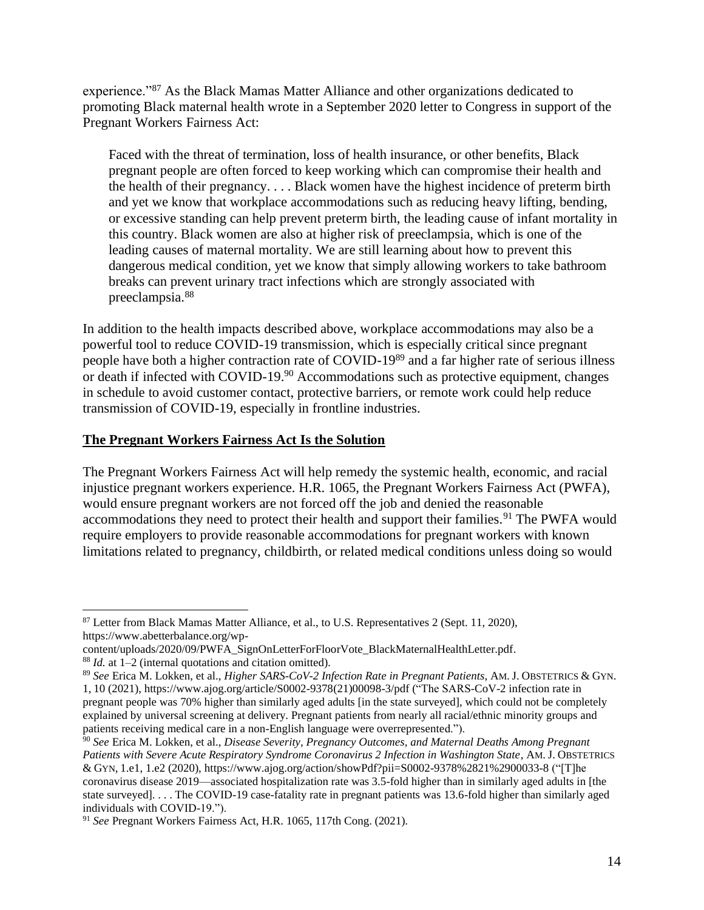experience."<sup>87</sup> As the Black Mamas Matter Alliance and other organizations dedicated to promoting Black maternal health wrote in a September 2020 letter to Congress in support of the Pregnant Workers Fairness Act:

Faced with the threat of termination, loss of health insurance, or other benefits, Black pregnant people are often forced to keep working which can compromise their health and the health of their pregnancy. . . . Black women have the highest incidence of preterm birth and yet we know that workplace accommodations such as reducing heavy lifting, bending, or excessive standing can help prevent preterm birth, the leading cause of infant mortality in this country. Black women are also at higher risk of preeclampsia, which is one of the leading causes of maternal mortality. We are still learning about how to prevent this dangerous medical condition, yet we know that simply allowing workers to take bathroom breaks can prevent urinary tract infections which are strongly associated with preeclampsia.<sup>88</sup>

In addition to the health impacts described above, workplace accommodations may also be a powerful tool to reduce COVID-19 transmission, which is especially critical since pregnant people have both a higher contraction rate of COVID-19<sup>89</sup> and a far higher rate of serious illness or death if infected with COVID-19.<sup>90</sup> Accommodations such as protective equipment, changes in schedule to avoid customer contact, protective barriers, or remote work could help reduce transmission of COVID-19, especially in frontline industries.

#### **The Pregnant Workers Fairness Act Is the Solution**

The Pregnant Workers Fairness Act will help remedy the systemic health, economic, and racial injustice pregnant workers experience. H.R. 1065, the Pregnant Workers Fairness Act (PWFA), would ensure pregnant workers are not forced off the job and denied the reasonable accommodations they need to protect their health and support their families.<sup>91</sup> The PWFA would require employers to provide reasonable accommodations for pregnant workers with known limitations related to pregnancy, childbirth, or related medical conditions unless doing so would

<sup>87</sup> Letter from Black Mamas Matter Alliance, et al., to U.S. Representatives 2 (Sept. 11, 2020), [https://www.abetterbalance.org/wp-](https://www.abetterbalance.org/wp-content/uploads/2020/09/PWFA_SignOnLetterForFloorVote_BlackMaternalHealthLetter.pdf)

[content/uploads/2020/09/PWFA\\_SignOnLetterForFloorVote\\_BlackMaternalHealthLetter.pdf.](https://www.abetterbalance.org/wp-content/uploads/2020/09/PWFA_SignOnLetterForFloorVote_BlackMaternalHealthLetter.pdf) <sup>88</sup> *Id.* at 1–2 (internal quotations and citation omitted).

<sup>89</sup> *See* Erica M. Lokken, et al., *Higher SARS-CoV-2 Infection Rate in Pregnant Patients*, AM. J. OBSTETRICS & GYN.

<sup>1,</sup> 10 (2021)[, https://www.ajog.org/article/S0002-9378\(21\)00098-3/pdf](https://www.ajog.org/article/S0002-9378(21)00098-3/pdf) ("The SARS-CoV-2 infection rate in pregnant people was 70% higher than similarly aged adults [in the state surveyed], which could not be completely explained by universal screening at delivery. Pregnant patients from nearly all racial/ethnic minority groups and patients receiving medical care in a non-English language were overrepresented.").

<sup>90</sup> *See* Erica M. Lokken, et al., *Disease Severity, Pregnancy Outcomes, and Maternal Deaths Among Pregnant Patients with Severe Acute Respiratory Syndrome Coronavirus 2 Infection in Washington State*, AM. J. OBSTETRICS & GYN, 1.e1, 1.e2 (2020),<https://www.ajog.org/action/showPdf?pii=S0002-9378%2821%2900033-8> ("[T]he coronavirus disease 2019—associated hospitalization rate was 3.5-fold higher than in similarly aged adults in [the state surveyed]. . . . The COVID-19 case-fatality rate in pregnant patients was 13.6-fold higher than similarly aged individuals with COVID-19.").

<sup>91</sup> *See* Pregnant Workers Fairness Act, H.R. 1065, 117th Cong. (2021).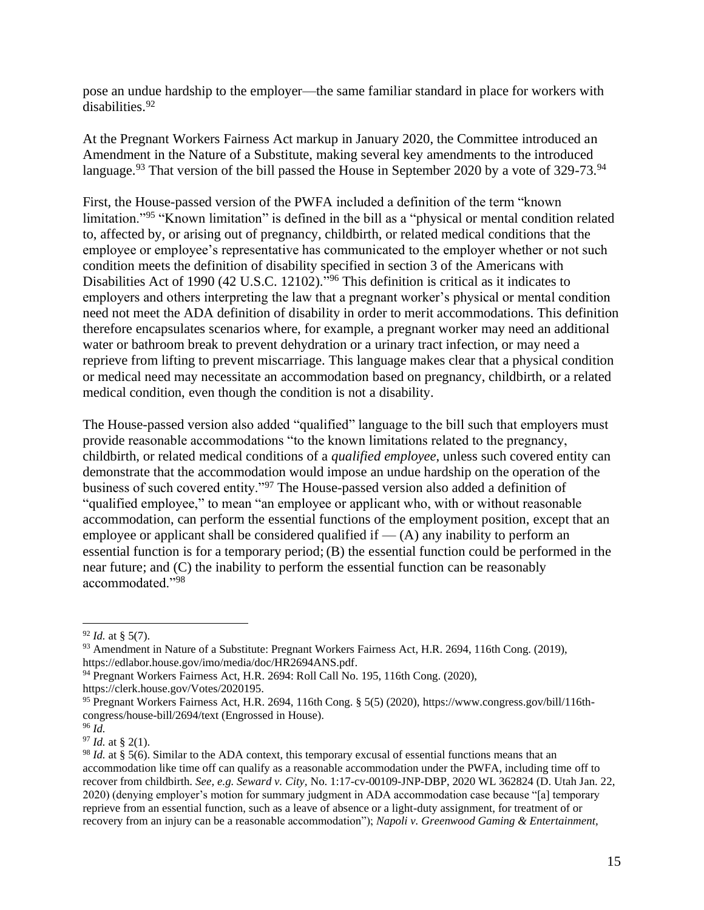pose an undue hardship to the employer—the same familiar standard in place for workers with disabilities.<sup>92</sup>

At the Pregnant Workers Fairness Act markup in January 2020, the Committee introduced an Amendment in the Nature of a Substitute, making several key amendments to the introduced language.<sup>93</sup> That version of the bill passed the House in September 2020 by a vote of 329-73.<sup>94</sup>

First, the House-passed version of the PWFA included a definition of the term "known limitation."<sup>95</sup> "Known limitation" is defined in the bill as a "physical or mental condition related to, affected by, or arising out of pregnancy, childbirth, or related medical conditions that the employee or employee's representative has communicated to the employer whether or not such condition meets the definition of disability specified in section 3 of the Americans with Disabilities Act of 1990 (42 U.S.C. 12102)."<sup>96</sup> This definition is critical as it indicates to employers and others interpreting the law that a pregnant worker's physical or mental condition need not meet the ADA definition of disability in order to merit accommodations. This definition therefore encapsulates scenarios where, for example, a pregnant worker may need an additional water or bathroom break to prevent dehydration or a urinary tract infection, or may need a reprieve from lifting to prevent miscarriage. This language makes clear that a physical condition or medical need may necessitate an accommodation based on pregnancy, childbirth, or a related medical condition, even though the condition is not a disability.

The House-passed version also added "qualified" language to the bill such that employers must provide reasonable accommodations "to the known limitations related to the pregnancy, childbirth, or related medical conditions of a *qualified employee*, unless such covered entity can demonstrate that the accommodation would impose an undue hardship on the operation of the business of such covered entity."<sup>97</sup> The House-passed version also added a definition of "qualified employee," to mean "an employee or applicant who, with or without reasonable accommodation, can perform the essential functions of the employment position, except that an employee or applicant shall be considered qualified if  $-$  (A) any inability to perform an essential function is for a temporary period; (B) the essential function could be performed in the near future; and (C) the inability to perform the essential function can be reasonably accommodated."<sup>98</sup>

https://clerk.house.gov/Votes/2020195.

<sup>92</sup> *Id.* at § 5(7).

<sup>93</sup> Amendment in Nature of a Substitute: Pregnant Workers Fairness Act, H.R. 2694, 116th Cong. (2019), [https://edlabor.house.gov/imo/media/doc/HR2694ANS.pdf.](https://edlabor.house.gov/imo/media/doc/HR2694ANS.pdf)

<sup>94</sup> Pregnant Workers Fairness Act, H.R. 2694: Roll Call No. 195, 116th Cong. (2020),

<sup>95</sup> Pregnant Workers Fairness Act, H.R. 2694, 116th Cong. § 5(5) (2020), [https://www.congress.gov/bill/116th](https://www.congress.gov/bill/116th-congress/house-bill/2694/text)[congress/house-bill/2694/text](https://www.congress.gov/bill/116th-congress/house-bill/2694/text) (Engrossed in House).

 $96 \overline{Id}$ .

<sup>97</sup> *Id.* at § 2(1).

<sup>98</sup> *Id.* at § 5(6). Similar to the ADA context, this temporary excusal of essential functions means that an accommodation like time off can qualify as a reasonable accommodation under the PWFA, including time off to recover from childbirth. *See, e.g. Seward v. City,* No. 1:17-cv-00109-JNP-DBP, 2020 WL 362824 (D. Utah Jan. 22, 2020) (denying employer's motion for summary judgment in ADA accommodation case because "[a] temporary reprieve from an essential function, such as a leave of absence or a light-duty assignment, for treatment of or recovery from an injury can be a reasonable accommodation"); *Napoli v. Greenwood Gaming & Entertainment,*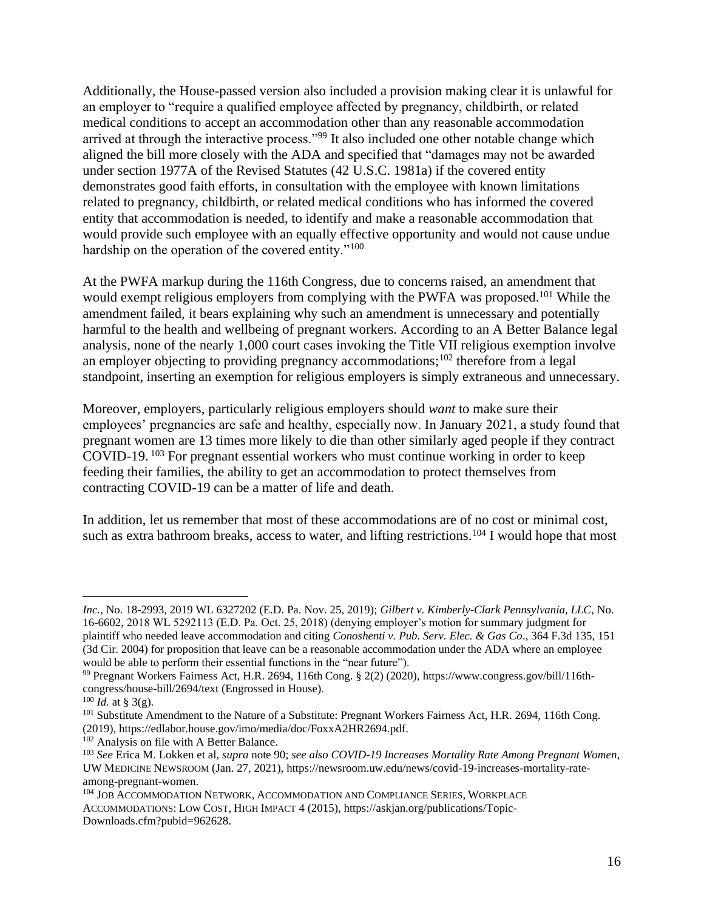Additionally, the House-passed version also included a provision making clear it is unlawful for an employer to "require a qualified employee affected by pregnancy, childbirth, or related medical conditions to accept an accommodation other than any reasonable accommodation arrived at through the interactive process."<sup>99</sup> It also included one other notable change which aligned the bill more closely with the ADA and specified that "damages may not be awarded under section 1977A of the Revised Statutes (42 U.S.C. 1981a) if the covered entity demonstrates good faith efforts, in consultation with the employee with known limitations related to pregnancy, childbirth, or related medical conditions who has informed the covered entity that accommodation is needed, to identify and make a reasonable accommodation that would provide such employee with an equally effective opportunity and would not cause undue hardship on the operation of the covered entity."<sup>100</sup>

At the PWFA markup during the 116th Congress, due to concerns raised, an amendment that would exempt religious employers from complying with the PWFA was proposed.<sup>101</sup> While the amendment failed, it bears explaining why such an amendment is unnecessary and potentially harmful to the health and wellbeing of pregnant workers. According to an A Better Balance legal analysis, none of the nearly 1,000 court cases invoking the Title VII religious exemption involve an employer objecting to providing pregnancy accommodations;<sup>102</sup> therefore from a legal standpoint, inserting an exemption for religious employers is simply extraneous and unnecessary.

Moreover, employers, particularly religious employers should *want* to make sure their employees' pregnancies are safe and healthy, especially now. In January 2021, a study found that pregnant women are 13 times more likely to die than other similarly aged people if they contract COVID-19. <sup>103</sup> For pregnant essential workers who must continue working in order to keep feeding their families, the ability to get an accommodation to protect themselves from contracting COVID-19 can be a matter of life and death.

In addition, let us remember that most of these accommodations are of no cost or minimal cost, such as extra bathroom breaks, access to water, and lifting restrictions.<sup>104</sup> I would hope that most

*Inc.*, No. 18-2993, 2019 WL 6327202 (E.D. Pa. Nov. 25, 2019); *Gilbert v. Kimberly-Clark Pennsylvania, LLC*, No. 16-6602, 2018 WL 5292113 (E.D. Pa. Oct. 25, 2018) (denying employer's motion for summary judgment for plaintiff who needed leave accommodation and citing *Conoshenti v. Pub. Serv. Elec. & Gas Co*., 364 F.3d 135, 151 (3d Cir. 2004) for proposition that leave can be a reasonable accommodation under the ADA where an employee would be able to perform their essential functions in the "near future").

<sup>99</sup> Pregnant Workers Fairness Act, H.R. 2694, 116th Cong. § 2(2) (2020), [https://www.congress.gov/bill/116th](https://www.congress.gov/bill/116th-congress/house-bill/2694/text)[congress/house-bill/2694/text](https://www.congress.gov/bill/116th-congress/house-bill/2694/text) (Engrossed in House).

 $^{100}$  *Id.* at § 3(g).

<sup>101</sup> Substitute Amendment to the Nature of a Substitute: Pregnant Workers Fairness Act, H.R. 2694, 116th Cong. (2019)[, https://edlabor.house.gov/imo/media/doc/FoxxA2HR2694.pdf.](https://edlabor.house.gov/imo/media/doc/FoxxA2HR2694.pdf)

<sup>&</sup>lt;sup>102</sup> Analysis on file with A Better Balance.

<sup>103</sup> *See* Erica M. Lokken et al, *supra* note 90; *see also COVID-19 Increases Mortality Rate Among Pregnant Women*, UW MEDICINE NEWSROOM (Jan. 27, 2021), [https://newsroom.uw.edu/news/covid-19-increases-mortality-rate](https://newsroom.uw.edu/news/covid-19-increases-mortality-rate-among-pregnant-women)[among-pregnant-women.](https://newsroom.uw.edu/news/covid-19-increases-mortality-rate-among-pregnant-women)

<sup>104</sup> JOB ACCOMMODATION NETWORK, ACCOMMODATION AND COMPLIANCE SERIES, WORKPLACE ACCOMMODATIONS: LOW COST, HIGH IMPACT 4 (2015), [https://askjan.org/publications/Topic-](https://askjan.org/publications/Topic-Downloads.cfm?pubid=962628)[Downloads.cfm?pubid=962628.](https://askjan.org/publications/Topic-Downloads.cfm?pubid=962628)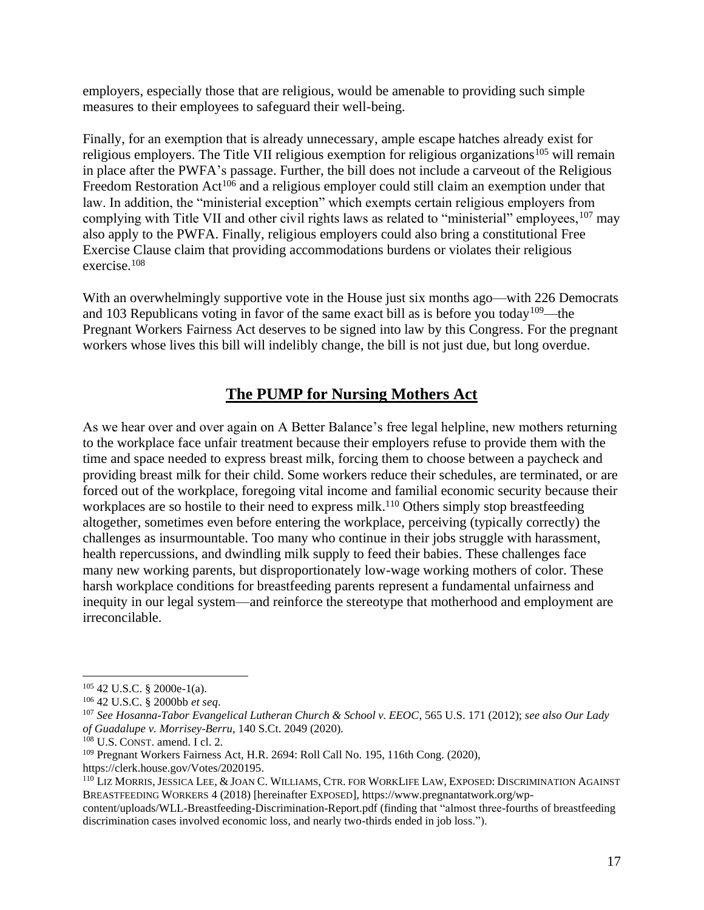employers, especially those that are religious, would be amenable to providing such simple measures to their employees to safeguard their well-being.

Finally, for an exemption that is already unnecessary, ample escape hatches already exist for religious employers. The Title VII religious exemption for religious organizations<sup>105</sup> will remain in place after the PWFA's passage. Further, the bill does not include a carveout of the Religious Freedom Restoration Act<sup>106</sup> and a religious employer could still claim an exemption under that law. In addition, the "ministerial exception" which exempts certain religious employers from complying with Title VII and other civil rights laws as related to "ministerial" employees, <sup>107</sup> may also apply to the PWFA. Finally, religious employers could also bring a constitutional Free Exercise Clause claim that providing accommodations burdens or violates their religious exercise.<sup>108</sup>

With an overwhelmingly supportive vote in the House just six months ago—with 226 Democrats and 103 Republicans voting in favor of the same exact bill as is before you today<sup>109</sup>—the Pregnant Workers Fairness Act deserves to be signed into law by this Congress. For the pregnant workers whose lives this bill will indelibly change, the bill is not just due, but long overdue.

# **The PUMP for Nursing Mothers Act**

As we hear over and over again on A Better Balance's free legal helpline, new mothers returning to the workplace face unfair treatment because their employers refuse to provide them with the time and space needed to express breast milk, forcing them to choose between a paycheck and providing breast milk for their child. Some workers reduce their schedules, are terminated, or are forced out of the workplace, foregoing vital income and familial economic security because their workplaces are so hostile to their need to express milk.<sup>110</sup> Others simply stop breastfeeding altogether, sometimes even before entering the workplace, perceiving (typically correctly) the challenges as insurmountable. Too many who continue in their jobs struggle with harassment, health repercussions, and dwindling milk supply to feed their babies. These challenges face many new working parents, but disproportionately low-wage working mothers of color. These harsh workplace conditions for breastfeeding parents represent a fundamental unfairness and inequity in our legal system—and reinforce the stereotype that motherhood and employment are irreconcilable.

[https://clerk.house.gov/Votes/2020195.](https://clerk.house.gov/Votes/2020195)

 $105$  42 U.S.C. § 2000e-1(a).

<sup>106</sup> 42 U.S.C. § 2000bb *et seq*.

<sup>107</sup> *See Hosanna-Tabor Evangelical Lutheran Church & School v. EEOC*, 565 U.S. 171 (2012); *see also Our Lady of Guadalupe v. Morrisey-Berru*, 140 S.Ct. 2049 (2020).

<sup>108</sup> U.S. CONST. amend. I cl. 2.

<sup>109</sup> Pregnant Workers Fairness Act, H.R. 2694: Roll Call No. 195, 116th Cong. (2020),

<sup>110</sup> LIZ MORRIS, JESSICA LEE, & JOAN C. WILLIAMS, CTR. FOR WORKLIFE LAW, EXPOSED: DISCRIMINATION AGAINST BREASTFEEDING WORKERS 4 (2018) [hereinafter EXPOSED], [https://www.pregnantatwork.org/wp-](https://www.pregnantatwork.org/wp-content/uploads/WLL-Breastfeeding-Discrimination-Report.pdf)

[content/uploads/WLL-Breastfeeding-Discrimination-Report.pdf](https://www.pregnantatwork.org/wp-content/uploads/WLL-Breastfeeding-Discrimination-Report.pdf) (finding that "almost three-fourths of breastfeeding discrimination cases involved economic loss, and nearly two-thirds ended in job loss.").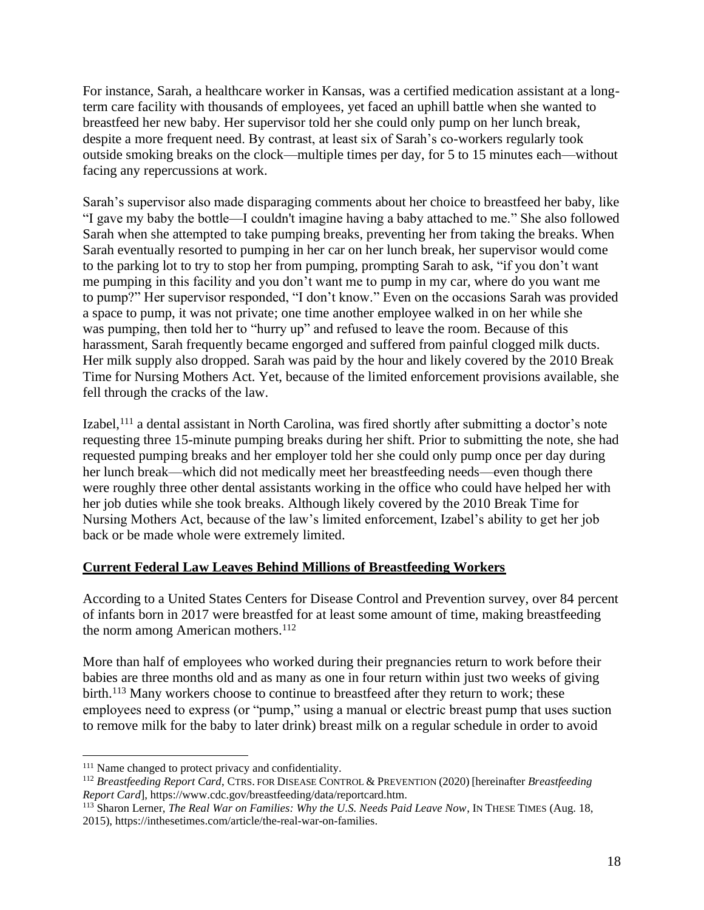For instance, Sarah, a healthcare worker in Kansas, was a certified medication assistant at a longterm care facility with thousands of employees, yet faced an uphill battle when she wanted to breastfeed her new baby. Her supervisor told her she could only pump on her lunch break, despite a more frequent need. By contrast, at least six of Sarah's co-workers regularly took outside smoking breaks on the clock—multiple times per day, for 5 to 15 minutes each—without facing any repercussions at work.

Sarah's supervisor also made disparaging comments about her choice to breastfeed her baby, like "I gave my baby the bottle—I couldn't imagine having a baby attached to me." She also followed Sarah when she attempted to take pumping breaks, preventing her from taking the breaks. When Sarah eventually resorted to pumping in her car on her lunch break, her supervisor would come to the parking lot to try to stop her from pumping, prompting Sarah to ask, "if you don't want me pumping in this facility and you don't want me to pump in my car, where do you want me to pump?" Her supervisor responded, "I don't know." Even on the occasions Sarah was provided a space to pump, it was not private; one time another employee walked in on her while she was pumping, then told her to "hurry up" and refused to leave the room. Because of this harassment, Sarah frequently became engorged and suffered from painful clogged milk ducts. Her milk supply also dropped. Sarah was paid by the hour and likely covered by the 2010 Break Time for Nursing Mothers Act. Yet, because of the limited enforcement provisions available, she fell through the cracks of the law.

Izabel,<sup>111</sup> a dental assistant in North Carolina, was fired shortly after submitting a doctor's note requesting three 15-minute pumping breaks during her shift. Prior to submitting the note, she had requested pumping breaks and her employer told her she could only pump once per day during her lunch break—which did not medically meet her breastfeeding needs—even though there were roughly three other dental assistants working in the office who could have helped her with her job duties while she took breaks. Although likely covered by the 2010 Break Time for Nursing Mothers Act, because of the law's limited enforcement, Izabel's ability to get her job back or be made whole were extremely limited.

# **Current Federal Law Leaves Behind Millions of Breastfeeding Workers**

According to a United States Centers for Disease Control and Prevention survey, over 84 percent of infants born in 2017 were breastfed for at least some amount of time, making breastfeeding the norm among American mothers.<sup>112</sup>

More than half of employees who worked during their pregnancies return to work before their babies are three months old and as many as one in four return within just two weeks of giving birth.<sup>113</sup> Many workers choose to continue to breastfeed after they return to work; these employees need to express (or "pump," using a manual or electric breast pump that uses suction to remove milk for the baby to later drink) breast milk on a regular schedule in order to avoid

<sup>&</sup>lt;sup>111</sup> Name changed to protect privacy and confidentiality.

<sup>112</sup> *Breastfeeding Report Card*, CTRS. FOR DISEASE CONTROL & PREVENTION (2020) [hereinafter *Breastfeeding Report Card*][, https://www.cdc.gov/breastfeeding/data/reportcard.htm.](https://www.cdc.gov/breastfeeding/data/reportcard.htm)

<sup>113</sup> Sharon Lerner, *The Real War on Families: Why the U.S. Needs Paid Leave Now*, IN THESE TIMES (Aug. 18, 2015), [https://inthesetimes.com/article/the-real-war-on-families.](https://inthesetimes.com/article/the-real-war-on-families)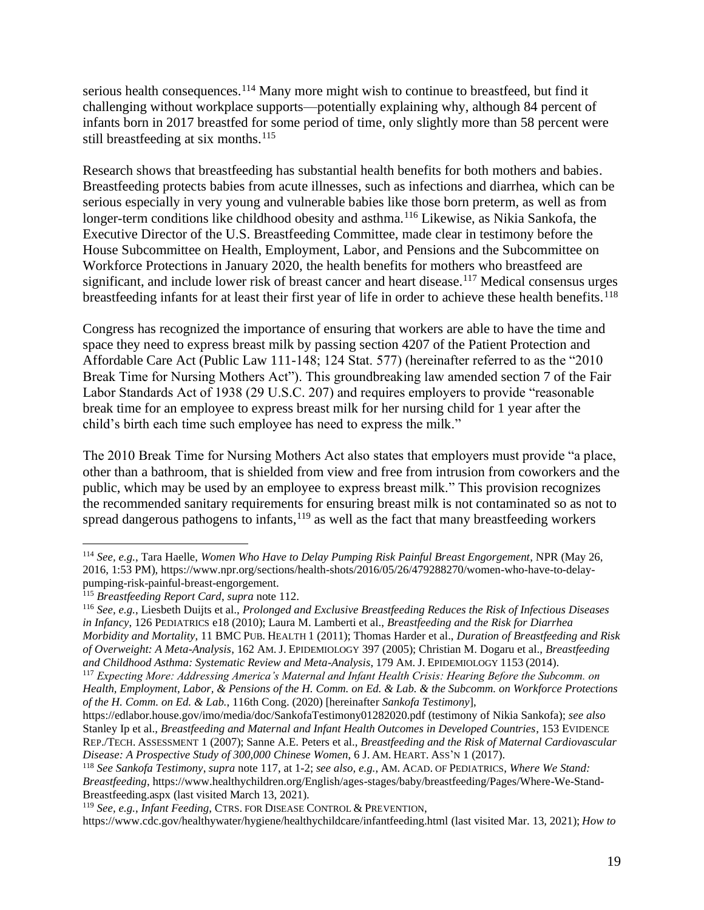serious health consequences.<sup>114</sup> Many more might wish to continue to breastfeed, but find it challenging without workplace supports—potentially explaining why, although 84 percent of infants born in 2017 breastfed for some period of time, only slightly more than 58 percent were still breastfeeding at six months.<sup>115</sup>

Research shows that breastfeeding has substantial health benefits for both mothers and babies. Breastfeeding protects babies from acute illnesses, such as infections and diarrhea, which can be serious especially in very young and vulnerable babies like those born preterm, as well as from longer-term conditions like childhood obesity and asthma.<sup>116</sup> Likewise, as Nikia Sankofa, the Executive Director of the U.S. Breastfeeding Committee, made clear in testimony before the House Subcommittee on Health, Employment, Labor, and Pensions and the Subcommittee on Workforce Protections in January 2020, the health benefits for mothers who breastfeed are significant, and include lower risk of breast cancer and heart disease.<sup>117</sup> Medical consensus urges breastfeeding infants for at least their first year of life in order to achieve these health benefits.<sup>118</sup>

Congress has recognized the importance of ensuring that workers are able to have the time and space they need to express breast milk by passing section 4207 of the Patient Protection and Affordable Care Act (Public Law 111-148; 124 Stat. 577) (hereinafter referred to as the "2010 Break Time for Nursing Mothers Act"). This groundbreaking law amended section 7 of the Fair Labor Standards Act of 1938 (29 U.S.C. 207) and requires employers to provide "reasonable break time for an employee to express breast milk for her nursing child for 1 year after the child's birth each time such employee has need to express the milk."

The 2010 Break Time for Nursing Mothers Act also states that employers must provide "a place, other than a bathroom, that is shielded from view and free from intrusion from coworkers and the public, which may be used by an employee to express breast milk." This provision recognizes the recommended sanitary requirements for ensuring breast milk is not contaminated so as not to spread dangerous pathogens to infants,  $119$  as well as the fact that many breastfeeding workers

<sup>114</sup> *See, e.g.*, Tara Haelle, *Women Who Have to Delay Pumping Risk Painful Breast Engorgement*, NPR (May 26, 2016, 1:53 PM), [https://www.npr.org/sections/health-shots/2016/05/26/479288270/women-who-have-to-delay](https://www.npr.org/sections/health-shots/2016/05/26/479288270/women-who-have-to-delay-pumping-risk-painful-breast-engorgement)[pumping-risk-painful-breast-engorgement.](https://www.npr.org/sections/health-shots/2016/05/26/479288270/women-who-have-to-delay-pumping-risk-painful-breast-engorgement) 

<sup>115</sup> *Breastfeeding Report Card*, *supra* note 112.

<sup>116</sup> *See, e.g.*, Liesbeth Duijts et al., *Prolonged and Exclusive Breastfeeding Reduces the Risk of Infectious Diseases in Infancy*, 126 PEDIATRICS e18 (2010); Laura M. Lamberti et al., *Breastfeeding and the Risk for Diarrhea Morbidity and Mortality*, 11 BMC PUB. HEALTH 1 (2011); Thomas Harder et al., *Duration of Breastfeeding and Risk of Overweight: A Meta-Analysis*, 162 AM. J. EPIDEMIOLOGY 397 (2005); Christian M. Dogaru et al., *Breastfeeding and Childhood Asthma: Systematic Review and Meta-Analysis*, 179 AM. J. EPIDEMIOLOGY 1153 (2014).

<sup>117</sup> *Expecting More: Addressing America's Maternal and Infant Health Crisis: Hearing Before the Subcomm. on Health, Employment, Labor, & Pensions of the H. Comm. on Ed. & Lab. & the Subcomm. on Workforce Protections of the H. Comm. on Ed. & Lab.*, 116th Cong. (2020) [hereinafter *Sankofa Testimony*],

<https://edlabor.house.gov/imo/media/doc/SankofaTestimony01282020.pdf> (testimony of Nikia Sankofa); *see also*  Stanley Ip et al., *Breastfeeding and Maternal and Infant Health Outcomes in Developed Countries*, 153 EVIDENCE REP./TECH. ASSESSMENT 1 (2007); Sanne A.E. Peters et al., *Breastfeeding and the Risk of Maternal Cardiovascular Disease: A Prospective Study of 300,000 Chinese Women*, 6 J. AM. HEART. ASS'N 1 (2017).

<sup>118</sup> *See Sankofa Testimony*, *supra* note 117, at 1-2; *see also, e.g.*, AM. ACAD. OF PEDIATRICS, *Where We Stand: Breastfeeding*[, https://www.healthychildren.org/English/ages-stages/baby/breastfeeding/Pages/Where-We-Stand-](https://www.healthychildren.org/English/ages-stages/baby/breastfeeding/Pages/Where-We-Stand-Breastfeeding.aspx)[Breastfeeding.aspx](https://www.healthychildren.org/English/ages-stages/baby/breastfeeding/Pages/Where-We-Stand-Breastfeeding.aspx) (last visited March 13, 2021).

<sup>119</sup> *See, e.g.*, *Infant Feeding*, CTRS. FOR DISEASE CONTROL & PREVENTION,

<https://www.cdc.gov/healthywater/hygiene/healthychildcare/infantfeeding.html> (last visited Mar. 13, 2021); *How to*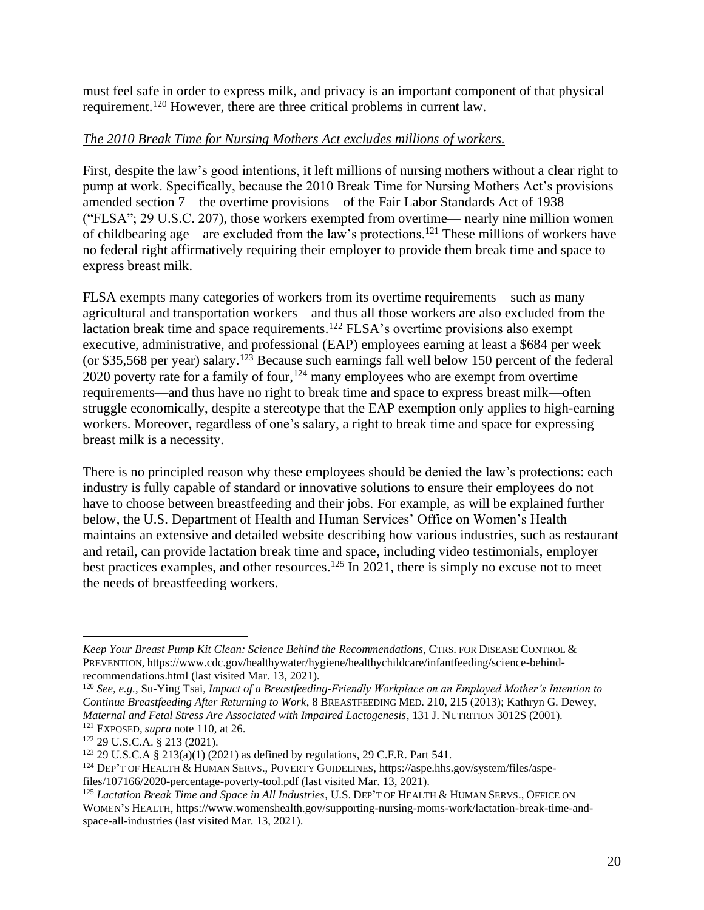must feel safe in order to express milk, and privacy is an important component of that physical requirement.<sup>120</sup> However, there are three critical problems in current law.

#### *The 2010 Break Time for Nursing Mothers Act excludes millions of workers.*

First, despite the law's good intentions, it left millions of nursing mothers without a clear right to pump at work. Specifically, because the 2010 Break Time for Nursing Mothers Act's provisions amended section 7—the overtime provisions—of the Fair Labor Standards Act of 1938 ("FLSA"; 29 U.S.C. 207), those workers exempted from overtime— nearly nine million women of childbearing age—are excluded from the law's protections.<sup>121</sup> These millions of workers have no federal right affirmatively requiring their employer to provide them break time and space to express breast milk.

FLSA exempts many categories of workers from its overtime requirements—such as many agricultural and transportation workers—and thus all those workers are also excluded from the lactation break time and space requirements.<sup>122</sup> FLSA's overtime provisions also exempt executive, administrative, and professional (EAP) employees earning at least a \$684 per week (or \$35,568 per year) salary.<sup>123</sup> Because such earnings fall well below 150 percent of the federal 2020 poverty rate for a family of four,<sup>124</sup> many employees who are exempt from overtime requirements—and thus have no right to break time and space to express breast milk—often struggle economically, despite a stereotype that the EAP exemption only applies to high-earning workers. Moreover, regardless of one's salary, a right to break time and space for expressing breast milk is a necessity.

There is no principled reason why these employees should be denied the law's protections: each industry is fully capable of standard or innovative solutions to ensure their employees do not have to choose between breastfeeding and their jobs. For example, as will be explained further below, the U.S. Department of Health and Human Services' Office on Women's Health maintains an extensive and detailed website describing how various industries, such as restaurant and retail, can provide lactation break time and space, including video testimonials, employer best practices examples, and other resources.<sup>125</sup> In 2021, there is simply no excuse not to meet the needs of breastfeeding workers.

*Keep Your Breast Pump Kit Clean: Science Behind the Recommendations*, CTRS. FOR DISEASE CONTROL & PREVENTION, [https://www.cdc.gov/healthywater/hygiene/healthychildcare/infantfeeding/science-behind](https://www.cdc.gov/healthywater/hygiene/healthychildcare/infantfeeding/science-behind-recommendations.html)[recommendations.html](https://www.cdc.gov/healthywater/hygiene/healthychildcare/infantfeeding/science-behind-recommendations.html) (last visited Mar. 13, 2021).

<sup>120</sup> *See, e.g.*, Su-Ying Tsai, *Impact of a Breastfeeding-Friendly Workplace on an Employed Mother's Intention to Continue Breastfeeding After Returning to Work*, 8 BREASTFEEDING MED. 210, 215 (2013); Kathryn G. Dewey, *Maternal and Fetal Stress Are Associated with Impaired Lactogenesis*, 131 J. NUTRITION 3012S (2001). <sup>121</sup> EXPOSED, *supra* note 110, at 26.

<sup>122</sup> 29 U.S.C.A. § 213 (2021).

<sup>123</sup> 29 U.S.C.A § 213(a)(1) (2021) as defined by regulations, 29 C.F.R. Part 541.

<sup>124</sup> DEP'T OF HEALTH & HUMAN SERVS., POVERTY GUIDELINES[, https://aspe.hhs.gov/system/files/aspe](https://aspe.hhs.gov/system/files/aspe-files/107166/2020-percentage-poverty-tool.pdf)[files/107166/2020-percentage-poverty-tool.pdf](https://aspe.hhs.gov/system/files/aspe-files/107166/2020-percentage-poverty-tool.pdf) (last visited Mar. 13, 2021).

<sup>125</sup> *Lactation Break Time and Space in All Industries*, U.S. DEP'T OF HEALTH & HUMAN SERVS., OFFICE ON WOMEN'S HEALTH, [https://www.womenshealth.gov/supporting-nursing-moms-work/lactation-break-time-and](https://www.womenshealth.gov/supporting-nursing-moms-work/lactation-break-time-and-space-all-industries)[space-all-industries](https://www.womenshealth.gov/supporting-nursing-moms-work/lactation-break-time-and-space-all-industries) (last visited Mar. 13, 2021).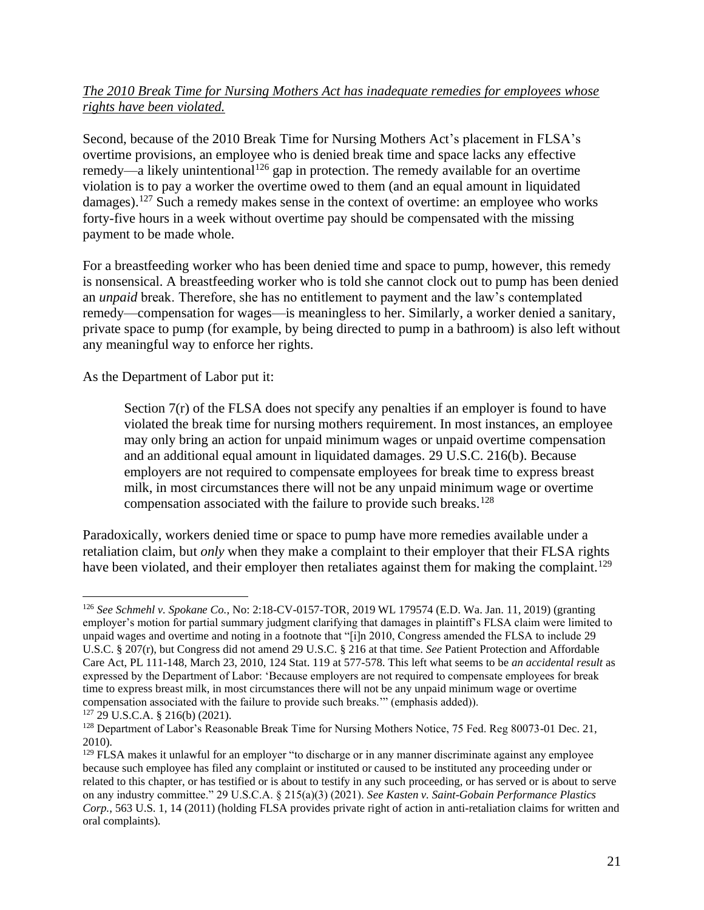### *The 2010 Break Time for Nursing Mothers Act has inadequate remedies for employees whose rights have been violated.*

Second, because of the 2010 Break Time for Nursing Mothers Act's placement in FLSA's overtime provisions, an employee who is denied break time and space lacks any effective remedy—a likely unintentional<sup>126</sup> gap in protection. The remedy available for an overtime violation is to pay a worker the overtime owed to them (and an equal amount in liquidated damages).<sup>127</sup> Such a remedy makes sense in the context of overtime: an employee who works forty-five hours in a week without overtime pay should be compensated with the missing payment to be made whole.

For a breastfeeding worker who has been denied time and space to pump, however, this remedy is nonsensical. A breastfeeding worker who is told she cannot clock out to pump has been denied an *unpaid* break. Therefore, she has no entitlement to payment and the law's contemplated remedy—compensation for wages—is meaningless to her. Similarly, a worker denied a sanitary, private space to pump (for example, by being directed to pump in a bathroom) is also left without any meaningful way to enforce her rights.

As the Department of Labor put it:

Section 7(r) of the FLSA does not specify any penalties if an employer is found to have violated the break time for nursing mothers requirement. In most instances, an employee may only bring an action for unpaid minimum wages or unpaid overtime compensation and an additional equal amount in liquidated damages. 29 U.S.C. 216(b). Because employers are not required to compensate employees for break time to express breast milk, in most circumstances there will not be any unpaid minimum wage or overtime compensation associated with the failure to provide such breaks.<sup>128</sup>

Paradoxically, workers denied time or space to pump have more remedies available under a retaliation claim, but *only* when they make a complaint to their employer that their FLSA rights have been violated, and their employer then retaliates against them for making the complaint.<sup>129</sup>

<sup>126</sup> *See Schmehl v. Spokane Co.*, No: 2:18-CV-0157-TOR, 2019 WL 179574 (E.D. Wa. Jan. 11, 2019) (granting employer's motion for partial summary judgment clarifying that damages in plaintiff's FLSA claim were limited to unpaid wages and overtime and noting in a footnote that "[i]n 2010, Congress amended the FLSA to include 29 U.S.C. § 207(r), but Congress did not amend 29 U.S.C. § 216 at that time. *See* Patient Protection and Affordable Care Act, PL 111-148, March 23, 2010, 124 Stat. 119 at 577-578. This left what seems to be *an accidental result* as expressed by the Department of Labor: 'Because employers are not required to compensate employees for break time to express breast milk, in most circumstances there will not be any unpaid minimum wage or overtime compensation associated with the failure to provide such breaks.'" (emphasis added)).

<sup>127</sup> 29 U.S.C.A. § 216(b) (2021).

<sup>&</sup>lt;sup>128</sup> Department of Labor's Reasonable Break Time for Nursing Mothers Notice, 75 Fed. Reg 80073-01 Dec. 21, 2010).

<sup>&</sup>lt;sup>129</sup> FLSA makes it unlawful for an employer "to discharge or in any manner discriminate against any employee because such employee has filed any complaint or instituted or caused to be instituted any proceeding under or related to this chapter, or has testified or is about to testify in any such proceeding, or has served or is about to serve on any industry committee." 29 U.S.C.A. § 215(a)(3) (2021). *See Kasten v. Saint-Gobain Performance Plastics Corp.*, 563 U.S. 1, 14 (2011) (holding FLSA provides private right of action in anti-retaliation claims for written and oral complaints).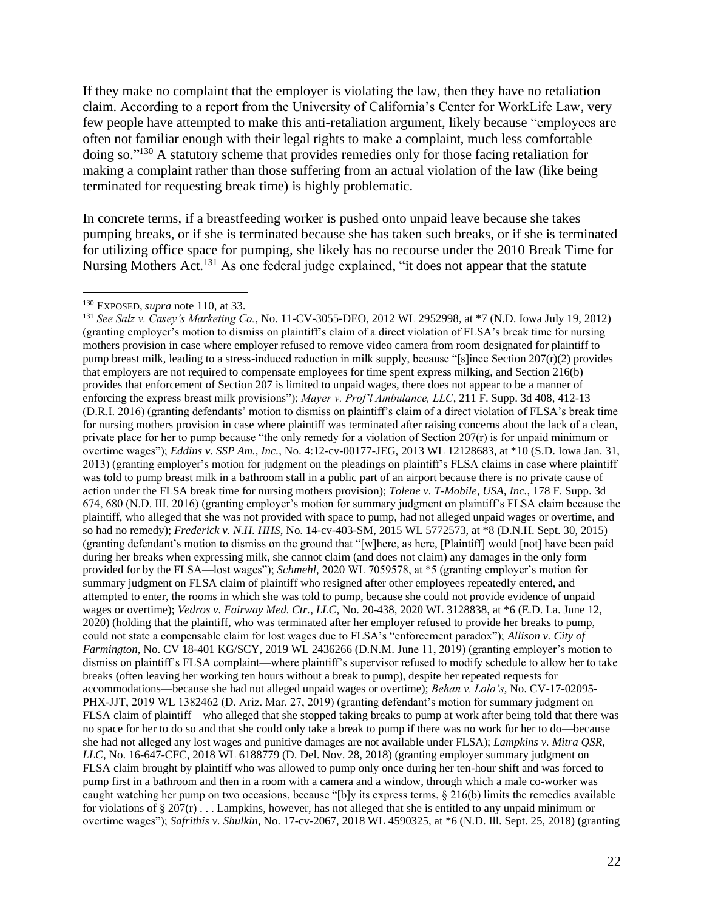If they make no complaint that the employer is violating the law, then they have no retaliation claim. According to a report from the University of California's Center for WorkLife Law, very few people have attempted to make this anti-retaliation argument, likely because "employees are often not familiar enough with their legal rights to make a complaint, much less comfortable doing so." <sup>130</sup> A statutory scheme that provides remedies only for those facing retaliation for making a complaint rather than those suffering from an actual violation of the law (like being terminated for requesting break time) is highly problematic.

In concrete terms, if a breastfeeding worker is pushed onto unpaid leave because she takes pumping breaks, or if she is terminated because she has taken such breaks, or if she is terminated for utilizing office space for pumping, she likely has no recourse under the 2010 Break Time for Nursing Mothers Act.<sup>131</sup> As one federal judge explained, "it does not appear that the statute

<sup>130</sup> EXPOSED, *supra* note 110, at 33.

<sup>131</sup> *See Salz v. Casey's Marketing Co.*, No. 11-CV-3055-DEO, 2012 WL 2952998, at \*7 (N.D. Iowa July 19, 2012) (granting employer's motion to dismiss on plaintiff's claim of a direct violation of FLSA's break time for nursing mothers provision in case where employer refused to remove video camera from room designated for plaintiff to pump breast milk, leading to a stress-induced reduction in milk supply, because "[s]ince Section 207(r)(2) provides that employers are not required to compensate employees for time spent express milking, and Section 216(b) provides that enforcement of Section 207 is limited to unpaid wages, there does not appear to be a manner of enforcing the express breast milk provisions"); *Mayer v. Prof'l Ambulance, LLC*, 211 F. Supp. 3d 408, 412-13 (D.R.I. 2016) (granting defendants' motion to dismiss on plaintiff's claim of a direct violation of FLSA's break time for nursing mothers provision in case where plaintiff was terminated after raising concerns about the lack of a clean, private place for her to pump because "the only remedy for a violation of Section 207(r) is for unpaid minimum or overtime wages"); *Eddins v. SSP Am., Inc.*, No. 4:12-cv-00177-JEG, 2013 WL 12128683, at \*10 (S.D. Iowa Jan. 31, 2013) (granting employer's motion for judgment on the pleadings on plaintiff's FLSA claims in case where plaintiff was told to pump breast milk in a bathroom stall in a public part of an airport because there is no private cause of action under the FLSA break time for nursing mothers provision); *Tolene v. T-Mobile, USA, Inc.*, 178 F. Supp. 3d 674, 680 (N.D. III. 2016) (granting employer's motion for summary judgment on plaintiff's FLSA claim because the plaintiff, who alleged that she was not provided with space to pump, had not alleged unpaid wages or overtime, and so had no remedy); *Frederick v. N.H. HHS*, No. 14-cv-403-SM, 2015 WL 5772573, at \*8 (D.N.H. Sept. 30, 2015) (granting defendant's motion to dismiss on the ground that "[w]here, as here, [Plaintiff] would [not] have been paid during her breaks when expressing milk, she cannot claim (and does not claim) any damages in the only form provided for by the FLSA—lost wages"); *Schmehl*, 2020 WL 7059578, at \*5 (granting employer's motion for summary judgment on FLSA claim of plaintiff who resigned after other employees repeatedly entered, and attempted to enter, the rooms in which she was told to pump, because she could not provide evidence of unpaid wages or overtime); *Vedros v. Fairway Med. Ctr., LLC*, No. 20-438, 2020 WL 3128838, at \*6 (E.D. La. June 12, 2020) (holding that the plaintiff, who was terminated after her employer refused to provide her breaks to pump, could not state a compensable claim for lost wages due to FLSA's "enforcement paradox"); *Allison v. City of Farmington*, No. CV 18-401 KG/SCY, 2019 WL 2436266 (D.N.M. June 11, 2019) (granting employer's motion to dismiss on plaintiff's FLSA complaint—where plaintiff's supervisor refused to modify schedule to allow her to take breaks (often leaving her working ten hours without a break to pump), despite her repeated requests for accommodations—because she had not alleged unpaid wages or overtime); *Behan v. Lolo's*, No. CV-17-02095- PHX-JJT, 2019 WL 1382462 (D. Ariz. Mar. 27, 2019) (granting defendant's motion for summary judgment on FLSA claim of plaintiff—who alleged that she stopped taking breaks to pump at work after being told that there was no space for her to do so and that she could only take a break to pump if there was no work for her to do—because she had not alleged any lost wages and punitive damages are not available under FLSA); *Lampkins v. Mitra QSR, LLC*, No. 16-647-CFC, 2018 WL 6188779 (D. Del. Nov. 28, 2018) (granting employer summary judgment on FLSA claim brought by plaintiff who was allowed to pump only once during her ten-hour shift and was forced to pump first in a bathroom and then in a room with a camera and a window, through which a male co-worker was caught watching her pump on two occasions, because "[b]y its express terms, § 216(b) limits the remedies available for violations of § 207 $(r)$ ... Lampkins, however, has not alleged that she is entitled to any unpaid minimum or overtime wages"); *Safrithis v. Shulkin*, No. 17-cv-2067, 2018 WL 4590325, at \*6 (N.D. Ill. Sept. 25, 2018) (granting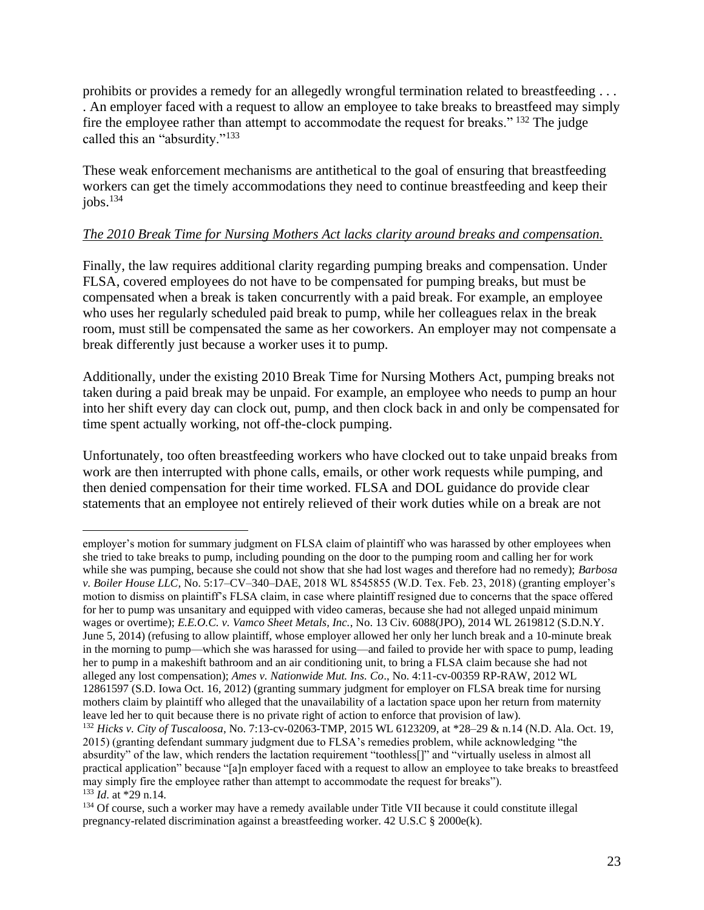prohibits or provides a remedy for an allegedly wrongful termination related to breastfeeding . . . . An employer faced with a request to allow an employee to take breaks to breastfeed may simply fire the employee rather than attempt to accommodate the request for breaks." <sup>132</sup> The judge called this an "absurdity."<sup>133</sup>

These weak enforcement mechanisms are antithetical to the goal of ensuring that breastfeeding workers can get the timely accommodations they need to continue breastfeeding and keep their jobs. $134$ 

#### *The 2010 Break Time for Nursing Mothers Act lacks clarity around breaks and compensation.*

Finally, the law requires additional clarity regarding pumping breaks and compensation. Under FLSA, covered employees do not have to be compensated for pumping breaks, but must be compensated when a break is taken concurrently with a paid break. For example, an employee who uses her regularly scheduled paid break to pump, while her colleagues relax in the break room, must still be compensated the same as her coworkers. An employer may not compensate a break differently just because a worker uses it to pump.

Additionally, under the existing 2010 Break Time for Nursing Mothers Act, pumping breaks not taken during a paid break may be unpaid. For example, an employee who needs to pump an hour into her shift every day can clock out, pump, and then clock back in and only be compensated for time spent actually working, not off-the-clock pumping.

Unfortunately, too often breastfeeding workers who have clocked out to take unpaid breaks from work are then interrupted with phone calls, emails, or other work requests while pumping, and then denied compensation for their time worked. FLSA and DOL guidance do provide clear statements that an employee not entirely relieved of their work duties while on a break are not

employer's motion for summary judgment on FLSA claim of plaintiff who was harassed by other employees when she tried to take breaks to pump, including pounding on the door to the pumping room and calling her for work while she was pumping, because she could not show that she had lost wages and therefore had no remedy); *Barbosa v. Boiler House LLC*, No. 5:17–CV–340–DAE, 2018 WL 8545855 (W.D. Tex. Feb. 23, 2018) (granting employer's motion to dismiss on plaintiff's FLSA claim, in case where plaintiff resigned due to concerns that the space offered for her to pump was unsanitary and equipped with video cameras, because she had not alleged unpaid minimum wages or overtime); *E.E.O.C. v. Vamco Sheet Metals, Inc.*, No. 13 Civ. 6088(JPO), 2014 WL 2619812 (S.D.N.Y. June 5, 2014) (refusing to allow plaintiff, whose employer allowed her only her lunch break and a 10-minute break in the morning to pump—which she was harassed for using—and failed to provide her with space to pump, leading her to pump in a makeshift bathroom and an air conditioning unit, to bring a FLSA claim because she had not alleged any lost compensation); *Ames v. Nationwide Mut. Ins. Co*., No. 4:11-cv-00359 RP-RAW, 2012 WL 12861597 (S.D. Iowa Oct. 16, 2012) (granting summary judgment for employer on FLSA break time for nursing mothers claim by plaintiff who alleged that the unavailability of a lactation space upon her return from maternity leave led her to quit because there is no private right of action to enforce that provision of law).

<sup>132</sup> *Hicks v. City of Tuscaloosa*, No. 7:13-cv-02063-TMP, 2015 WL 6123209, at \*28–29 & n.14 (N.D. Ala. Oct. 19, 2015) (granting defendant summary judgment due to FLSA's remedies problem, while acknowledging "the absurdity" of the law, which renders the lactation requirement "toothless[]" and "virtually useless in almost all practical application" because "[a]n employer faced with a request to allow an employee to take breaks to breastfeed may simply fire the employee rather than attempt to accommodate the request for breaks"). <sup>133</sup> *Id*. at \*29 n.14.

<sup>&</sup>lt;sup>134</sup> Of course, such a worker may have a remedy available under Title VII because it could constitute illegal pregnancy-related discrimination against a breastfeeding worker. 42 U.S.C § 2000e(k).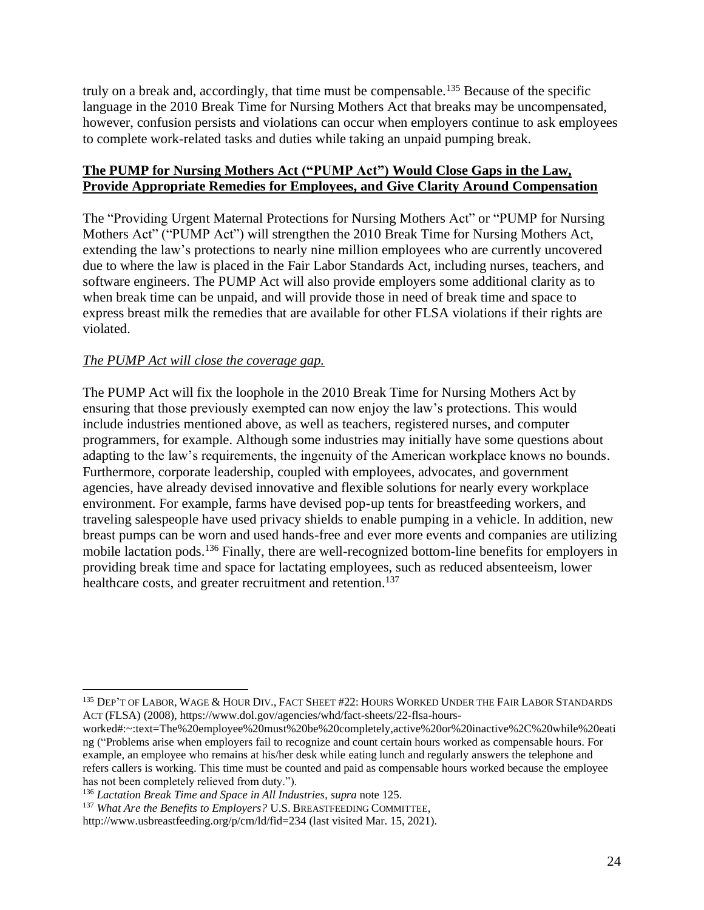truly on a break and, accordingly, that time must be compensable.<sup>135</sup> Because of the specific language in the 2010 Break Time for Nursing Mothers Act that breaks may be uncompensated, however, confusion persists and violations can occur when employers continue to ask employees to complete work-related tasks and duties while taking an unpaid pumping break.

#### **The PUMP for Nursing Mothers Act ("PUMP Act") Would Close Gaps in the Law, Provide Appropriate Remedies for Employees, and Give Clarity Around Compensation**

The "Providing Urgent Maternal Protections for Nursing Mothers Act" or "PUMP for Nursing Mothers Act" ("PUMP Act") will strengthen the 2010 Break Time for Nursing Mothers Act, extending the law's protections to nearly nine million employees who are currently uncovered due to where the law is placed in the Fair Labor Standards Act, including nurses, teachers, and software engineers. The PUMP Act will also provide employers some additional clarity as to when break time can be unpaid, and will provide those in need of break time and space to express breast milk the remedies that are available for other FLSA violations if their rights are violated.

### *The PUMP Act will close the coverage gap.*

The PUMP Act will fix the loophole in the 2010 Break Time for Nursing Mothers Act by ensuring that those previously exempted can now enjoy the law's protections. This would include industries mentioned above, as well as teachers, registered nurses, and computer programmers, for example. Although some industries may initially have some questions about adapting to the law's requirements, the ingenuity of the American workplace knows no bounds. Furthermore, corporate leadership, coupled with employees, advocates, and government agencies, have already devised innovative and flexible solutions for nearly every workplace environment. For example, farms have devised pop-up tents for breastfeeding workers, and traveling salespeople have used privacy shields to enable pumping in a vehicle. In addition, new breast pumps can be worn and used hands-free and ever more events and companies are utilizing mobile lactation pods.<sup>136</sup> Finally, there are well-recognized bottom-line benefits for employers in providing break time and space for lactating employees, such as reduced absenteeism, lower healthcare costs, and greater recruitment and retention.<sup>137</sup>

<sup>&</sup>lt;sup>135</sup> DEP'T OF LABOR, WAGE & HOUR DIV., FACT SHEET #22: HOURS WORKED UNDER THE FAIR LABOR STANDARDS ACT (FLSA) (2008)[, https://www.dol.gov/agencies/whd/fact-sheets/22-flsa-hours-](https://www.dol.gov/agencies/whd/fact-sheets/22-flsa-hours-worked#:~:text=The%20employee%20must%20be%20completely,active%20or%20inactive%2C%20while%20eating)

[worked#:~:text=The%20employee%20must%20be%20completely,active%20or%20inactive%2C%20while%20eati](https://www.dol.gov/agencies/whd/fact-sheets/22-flsa-hours-worked#:~:text=The%20employee%20must%20be%20completely,active%20or%20inactive%2C%20while%20eating) [ng](https://www.dol.gov/agencies/whd/fact-sheets/22-flsa-hours-worked#:~:text=The%20employee%20must%20be%20completely,active%20or%20inactive%2C%20while%20eating) ("Problems arise when employers fail to recognize and count certain hours worked as compensable hours. For example, an employee who remains at his/her desk while eating lunch and regularly answers the telephone and refers callers is working. This time must be counted and paid as compensable hours worked because the employee has not been completely relieved from duty.").

<sup>136</sup> *Lactation Break Time and Space in All Industries*, *supra* note 125.

<sup>137</sup> *What Are the Benefits to Employers?* U.S. BREASTFEEDING COMMITTEE,

<http://www.usbreastfeeding.org/p/cm/ld/fid=234> (last visited Mar. 15, 2021).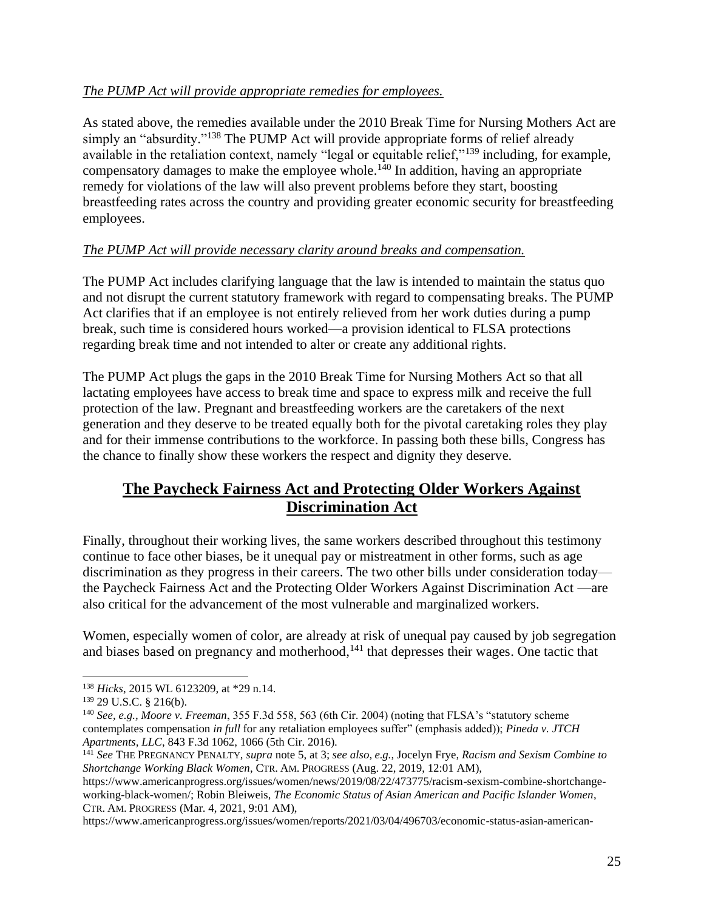# *The PUMP Act will provide appropriate remedies for employees.*

As stated above, the remedies available under the 2010 Break Time for Nursing Mothers Act are simply an "absurdity."<sup>138</sup> The PUMP Act will provide appropriate forms of relief already available in the retaliation context, namely "legal or equitable relief,"<sup>139</sup> including, for example, compensatory damages to make the employee whole.<sup>140</sup> In addition, having an appropriate remedy for violations of the law will also prevent problems before they start, boosting breastfeeding rates across the country and providing greater economic security for breastfeeding employees.

# *The PUMP Act will provide necessary clarity around breaks and compensation.*

The PUMP Act includes clarifying language that the law is intended to maintain the status quo and not disrupt the current statutory framework with regard to compensating breaks. The PUMP Act clarifies that if an employee is not entirely relieved from her work duties during a pump break, such time is considered hours worked—a provision identical to FLSA protections regarding break time and not intended to alter or create any additional rights.

The PUMP Act plugs the gaps in the 2010 Break Time for Nursing Mothers Act so that all lactating employees have access to break time and space to express milk and receive the full protection of the law. Pregnant and breastfeeding workers are the caretakers of the next generation and they deserve to be treated equally both for the pivotal caretaking roles they play and for their immense contributions to the workforce. In passing both these bills, Congress has the chance to finally show these workers the respect and dignity they deserve.

# **The Paycheck Fairness Act and Protecting Older Workers Against Discrimination Act**

Finally, throughout their working lives, the same workers described throughout this testimony continue to face other biases, be it unequal pay or mistreatment in other forms, such as age discrimination as they progress in their careers. The two other bills under consideration today the Paycheck Fairness Act and the Protecting Older Workers Against Discrimination Act —are also critical for the advancement of the most vulnerable and marginalized workers.

Women, especially women of color, are already at risk of unequal pay caused by job segregation and biases based on pregnancy and motherhood,<sup>141</sup> that depresses their wages. One tactic that

https://www.americanprogress.org/issues/women/reports/2021/03/04/496703/economic-status-asian-american-

<sup>138</sup> *Hicks*, 2015 WL 6123209, at \*29 n.14.

<sup>139</sup> 29 U.S.C. § 216(b).

<sup>140</sup> *See, e.g., Moore v. Freeman*, 355 F.3d 558, 563 (6th Cir. 2004) (noting that FLSA's "statutory scheme contemplates compensation *in full* for any retaliation employees suffer" (emphasis added)); *Pineda v. JTCH Apartments, LLC*, 843 F.3d 1062, 1066 (5th Cir. 2016).

<sup>141</sup> *See* THE PREGNANCY PENALTY, *supra* note 5, at 3; *see also, e.g.*, Jocelyn Frye, *Racism and Sexism Combine to Shortchange Working Black Women*, CTR. AM.PROGRESS (Aug. 22, 2019, 12:01 AM),

[https://www.americanprogress.org/issues/women/news/2019/08/22/473775/racism-sexism-combine-shortchange](https://www.americanprogress.org/issues/women/news/2019/08/22/473775/racism-sexism-combine-shortchange-working-black-women/)[working-black-women/;](https://www.americanprogress.org/issues/women/news/2019/08/22/473775/racism-sexism-combine-shortchange-working-black-women/) Robin Bleiweis, *The Economic Status of Asian American and Pacific Islander Women*, CTR. AM.PROGRESS (Mar. 4, 2021, 9:01 AM),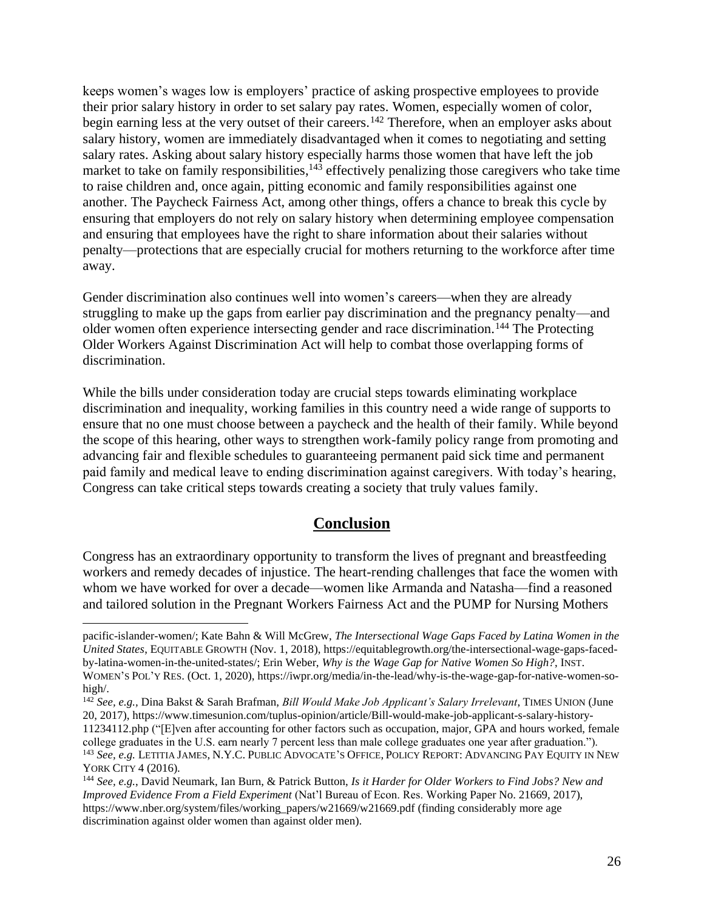keeps women's wages low is employers' practice of asking prospective employees to provide their prior salary history in order to set salary pay rates. Women, especially women of color, begin earning less at the very outset of their careers.<sup>142</sup> Therefore, when an employer asks about salary history, women are immediately disadvantaged when it comes to negotiating and setting salary rates. Asking about salary history especially harms those women that have left the job market to take on family responsibilities,<sup>143</sup> effectively penalizing those caregivers who take time to raise children and, once again, pitting economic and family responsibilities against one another. The Paycheck Fairness Act, among other things, offers a chance to break this cycle by ensuring that employers do not rely on salary history when determining employee compensation and ensuring that employees have the right to share information about their salaries without penalty—protections that are especially crucial for mothers returning to the workforce after time away.

Gender discrimination also continues well into women's careers—when they are already struggling to make up the gaps from earlier pay discrimination and the pregnancy penalty—and older women often experience intersecting gender and race discrimination.<sup>144</sup> The Protecting Older Workers Against Discrimination Act will help to combat those overlapping forms of discrimination.

While the bills under consideration today are crucial steps towards eliminating workplace discrimination and inequality, working families in this country need a wide range of supports to ensure that no one must choose between a paycheck and the health of their family. While beyond the scope of this hearing, other ways to strengthen work-family policy range from promoting and advancing fair and flexible schedules to guaranteeing permanent paid sick time and permanent paid family and medical leave to ending discrimination against caregivers. With today's hearing, Congress can take critical steps towards creating a society that truly values family.

# **Conclusion**

Congress has an extraordinary opportunity to transform the lives of pregnant and breastfeeding workers and remedy decades of injustice. The heart-rending challenges that face the women with whom we have worked for over a decade—women like Armanda and Natasha—find a reasoned and tailored solution in the Pregnant Workers Fairness Act and the PUMP for Nursing Mothers

pacific-islander-women/; Kate Bahn & Will McGrew, *The Intersectional Wage Gaps Faced by Latina Women in the United States*, EQUITABLE GROWTH (Nov. 1, 2018)[, https://equitablegrowth.org/the-intersectional-wage-gaps-faced](https://equitablegrowth.org/the-intersectional-wage-gaps-faced-by-latina-women-in-the-united-states/)[by-latina-women-in-the-united-states/;](https://equitablegrowth.org/the-intersectional-wage-gaps-faced-by-latina-women-in-the-united-states/) Erin Weber, *Why is the Wage Gap for Native Women So High?*, INST. WOMEN'S POL'Y RES. (Oct. 1, 2020), [https://iwpr.org/media/in-the-lead/why-is-the-wage-gap-for-native-women-so](https://iwpr.org/media/in-the-lead/why-is-the-wage-gap-for-native-women-so-high/)[high/.](https://iwpr.org/media/in-the-lead/why-is-the-wage-gap-for-native-women-so-high/)

<sup>142</sup> *See, e.g.,* Dina Bakst & Sarah Brafman, *Bill Would Make Job Applicant's Salary Irrelevant*, TIMES UNION (June 20, 2017), [https://www.timesunion.com/tuplus-opinion/article/Bill-would-make-job-applicant-s-salary-history-](https://www.timesunion.com/tuplus-opinion/article/Bill-would-make-job-applicant-s-salary-history-11234112.php)[11234112.php](https://www.timesunion.com/tuplus-opinion/article/Bill-would-make-job-applicant-s-salary-history-11234112.php) ("[E]ven after accounting for other factors such as occupation, major, GPA and hours worked, female college graduates in the U.S. earn nearly 7 percent less than male college graduates one year after graduation.").

<sup>143</sup> *See, e.g.* LETITIA JAMES, N.Y.C.PUBLIC ADVOCATE'S OFFICE,POLICY REPORT: ADVANCING PAY EQUITY IN NEW YORK CITY 4 (2016).

<sup>144</sup> *See, e.g.*, David Neumark, Ian Burn, & Patrick Button, *Is it Harder for Older Workers to Find Jobs? New and Improved Evidence From a Field Experiment* (Nat'l Bureau of Econ. Res. Working Paper No. 21669, 2017), [https://www.nber.org/system/files/working\\_papers/w21669/w21669.pdf](https://www.nber.org/system/files/working_papers/w21669/w21669.pdf) (finding considerably more age discrimination against older women than against older men).